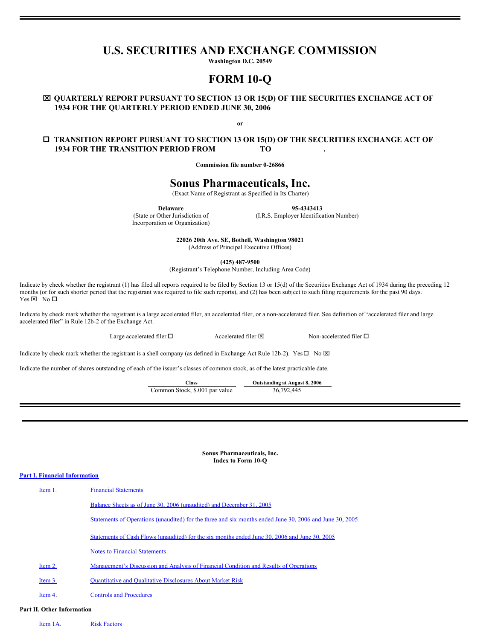# **U.S. SECURITIES AND EXCHANGE COMMISSION**

**Washington D.C. 20549**

# **FORM 10-Q**

# x **QUARTERLY REPORT PURSUANT TO SECTION 13 OR 15(D) OF THE SECURITIES EXCHANGE ACT OF 1934 FOR THE QUARTERLY PERIOD ENDED JUNE 30, 2006**

**or**

# o **TRANSITION REPORT PURSUANT TO SECTION 13 OR 15(D) OF THE SECURITIES EXCHANGE ACT OF 1934 FOR THE TRANSITION PERIOD FROM TO .**

**Commission file number 0-26866**

# **Sonus Pharmaceuticals, Inc.**

(Exact Name of Registrant as Specified in Its Charter)

**Delaware 95-4343413**

(State or Other Jurisdiction of (I.R.S. Employer Identification Number) Incorporation or Organization)

**22026 20th Ave. SE, Bothell, Washington 98021** (Address of Principal Executive Offices)

**(425) 487-9500**

(Registrant's Telephone Number, Including Area Code)

Indicate by check whether the registrant (1) has filed all reports required to be filed by Section 13 or 15(d) of the Securities Exchange Act of 1934 during the preceding 12 months (or for such shorter period that the registrant was required to file such reports), and (2) has been subject to such filing requirements for the past 90 days.  $Yes \boxtimes No \Box$ 

Indicate by check mark whether the registrant is a large accelerated filer, an accelerated filer, or a non-accelerated filer. See definition of "accelerated filer and large accelerated filer" in Rule 12b-2 of the Exchange Act.

Large accelerated filer  $\square$  Accelerated filer  $\square$  Non-accelerated filer  $\square$ 

Indicate by check mark whether the registrant is a shell company (as defined in Exchange Act Rule 12b-2). Yes $\square$  No  $\boxtimes$ 

Indicate the number of shares outstanding of each of the issuer's classes of common stock, as of the latest practicable date.

**Class Outstanding at August 8, 2006** Common Stock, \$.001 par value 36,792,445

**Sonus Pharmaceuticals, Inc. Index to Form 10-Q**

# **Part I. Financial [Information](#page-1-0)**

| Item 1. | <b>Financial Statements</b>                                                                             |
|---------|---------------------------------------------------------------------------------------------------------|
|         | Balance Sheets as of June 30, 2006 (unaudited) and December 31, 2005                                    |
|         | Statements of Operations (unaudited) for the three and six months ended June 30, 2006 and June 30, 2005 |
|         | Statements of Cash Flows (unaudited) for the six months ended June 30, 2006 and June 30, 2005           |
|         | <b>Notes to Financial Statements</b>                                                                    |
| Item 2. | Management's Discussion and Analysis of Financial Condition and Results of Operations                   |
| Item 3. | <b>Quantitative and Qualitative Disclosures About Market Risk</b>                                       |
| Item 4. | <b>Controls and Procedures</b>                                                                          |

#### **Part II. Other Information**

[Item](#page-13-2) 1A. Risk [Factors](#page-13-2)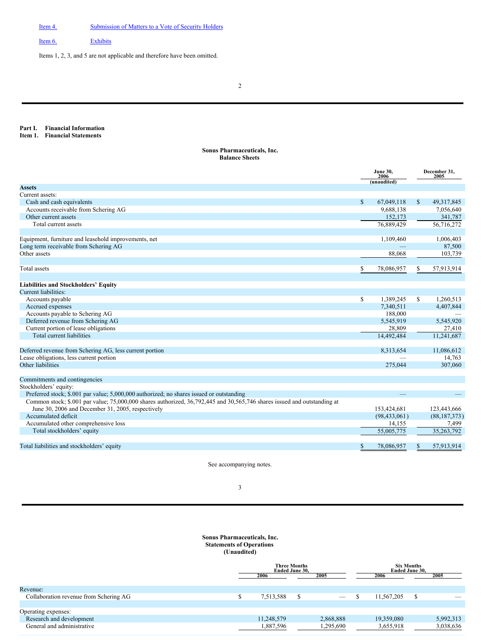# [Item](#page-17-0) 4. [Submission](#page-17-0) of Matters to a Vote of Security Holders

[Item](#page-17-1) 6. [Exhibits](#page-17-1)

Items 1, 2, 3, and 5 are not applicable and therefore have been omitted.

2

# <span id="page-1-1"></span><span id="page-1-0"></span>**Part I. Financial Information**

# **Item 1. Financial Statements**

## <span id="page-1-2"></span>**Sonus Pharmaceuticals, Inc. Balance Sheets**

|                                                                                                                          | <b>June 30,</b><br>2006<br>(unaudited) |              | December 31,<br>2005 |
|--------------------------------------------------------------------------------------------------------------------------|----------------------------------------|--------------|----------------------|
| <b>Assets</b>                                                                                                            |                                        |              |                      |
| Current assets:                                                                                                          |                                        |              |                      |
| Cash and cash equivalents                                                                                                | $\mathbb{S}$<br>67,049,118             | $\mathbb{S}$ | 49, 317, 845         |
| Accounts receivable from Schering AG                                                                                     | 9,688,138                              |              | 7,056,640            |
| Other current assets                                                                                                     | 152,173                                |              | 341,787              |
| Total current assets                                                                                                     | 76,889,429                             |              | 56,716,272           |
| Equipment, furniture and leasehold improvements, net                                                                     | 1,109,460                              |              | 1,006,403            |
| Long term receivable from Schering AG                                                                                    |                                        |              | 87,500               |
| Other assets                                                                                                             | 88,068                                 |              | 103,739              |
|                                                                                                                          |                                        |              |                      |
| Total assets                                                                                                             | S<br>78,086,957                        | S.           | 57,913,914           |
| <b>Liabilities and Stockholders' Equity</b>                                                                              |                                        |              |                      |
| <b>Current liabilities:</b>                                                                                              |                                        |              |                      |
| Accounts payable                                                                                                         | \$<br>1,389,245                        | S            | 1,260,513            |
| Accrued expenses                                                                                                         | 7,340,511                              |              | 4,407,844            |
| Accounts payable to Schering AG                                                                                          | 188,000                                |              |                      |
| Deferred revenue from Schering AG                                                                                        | 5,545,919                              |              | 5,545,920            |
| Current portion of lease obligations                                                                                     | 28,809                                 |              | 27,410               |
| Total current liabilities                                                                                                | 14,492,484                             |              | 11,241,687           |
| Deferred revenue from Schering AG, less current portion                                                                  | 8,313,654                              |              | 11,086,612           |
| Lease obligations, less current portion                                                                                  |                                        |              | 14,763               |
| Other liabilities                                                                                                        | 275,044                                |              | 307,060              |
| Commitments and contingencies                                                                                            |                                        |              |                      |
| Stockholders' equity:                                                                                                    |                                        |              |                      |
| Preferred stock; \$.001 par value; 5,000,000 authorized; no shares issued or outstanding                                 |                                        |              |                      |
| Common stock; \$.001 par value; 75,000,000 shares authorized, 36,792,445 and 30,565,746 shares issued and outstanding at |                                        |              |                      |
| June 30, 2006 and December 31, 2005, respectively                                                                        | 153,424,681                            |              | 123,443,666          |
| Accumulated deficit                                                                                                      | (98, 433, 061)                         |              | (88, 187, 373)       |
| Accumulated other comprehensive loss                                                                                     | 14,155                                 |              | 7,499                |
| Total stockholders' equity                                                                                               | 55,005,775                             |              | 35, 263, 792         |
| Total liabilities and stockholders' equity                                                                               | \$<br>78,086,957                       | \$           | 57,913,914           |

See accompanying notes.

# <span id="page-1-3"></span>3

# **Sonus Pharmaceuticals, Inc. Statements of Operations (Unaudited) Three Months Ended June 30, Six Months Ended June 30, 2006 2005 2006 2005** Revenue: Collaboration revenue from Schering AG  $\qquad \qquad$  \$ 7,513,588 \$  $\qquad -$  \$ 11,567,205 \$ Operating expenses: Research and development<br>
Research and development<br>
Research and administrative 1,887,596 1,295,690 1,295,690 3,655,918 3,038,636 General and administrative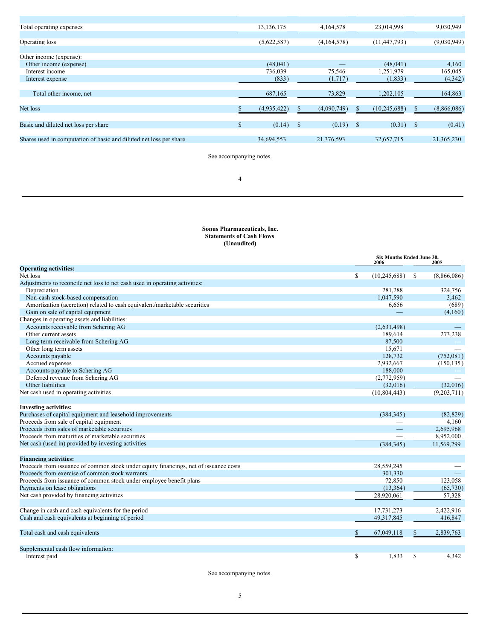| Total operating expenses                                           | 13, 136, 175 |   | 4,164,578   |            | 23,014,998     |      | 9,030,949   |
|--------------------------------------------------------------------|--------------|---|-------------|------------|----------------|------|-------------|
|                                                                    |              |   |             |            |                |      |             |
| Operating loss                                                     | (5,622,587)  |   | (4,164,578) |            | (11, 447, 793) |      | (9,030,949) |
|                                                                    |              |   |             |            |                |      |             |
| Other income (expense):                                            |              |   |             |            |                |      |             |
| Other income (expense)                                             | (48,041)     |   |             |            | (48,041)       |      | 4,160       |
| Interest income                                                    | 736,039      |   | 75,546      |            | 1,251,979      |      | 165,045     |
| Interest expense                                                   | (833)        |   | (1,717)     |            | (1, 833)       |      | (4,342)     |
|                                                                    |              |   |             |            |                |      |             |
| Total other income, net                                            | 687,165      |   | 73,829      |            | 1,202,105      |      | 164,863     |
|                                                                    |              |   |             |            |                |      |             |
| Net loss                                                           | (4,935,422)  |   | (4,090,749) |            | (10, 245, 688) |      | (8,866,086) |
|                                                                    |              |   |             |            |                |      |             |
| Basic and diluted net loss per share                               | \$<br>(0.14) | S | (0.19)      | $^{\circ}$ | (0.31)         | - \$ | (0.41)      |
| Shares used in computation of basic and diluted net loss per share | 34,694,553   |   | 21,376,593  |            | 32,657,715     |      | 21.365.230  |
|                                                                    |              |   |             |            |                |      |             |

See accompanying notes.

# <span id="page-2-0"></span>4

#### **Sonus Pharmaceuticals, Inc. Statements of Cash Flows (Unaudited)**

|                                                                                       | <b>Six Months Ended June 30.</b> |    |             |
|---------------------------------------------------------------------------------------|----------------------------------|----|-------------|
|                                                                                       | 2006                             |    | 2005        |
| <b>Operating activities:</b><br>Net loss                                              | \$<br>(10, 245, 688)             | S  | (8,866,086) |
| Adjustments to reconcile net loss to net cash used in operating activities:           |                                  |    |             |
| Depreciation                                                                          | 281,288                          |    | 324,756     |
| Non-cash stock-based compensation                                                     | 1,047,590                        |    |             |
| Amortization (accretion) related to cash equivalent/marketable securities             | 6,656                            |    | 3,462       |
| Gain on sale of capital equipment                                                     |                                  |    | (689)       |
|                                                                                       |                                  |    | (4,160)     |
| Changes in operating assets and liabilities:                                          |                                  |    |             |
| Accounts receivable from Schering AG                                                  | (2,631,498)                      |    |             |
| Other current assets                                                                  | 189,614                          |    | 273,238     |
| Long term receivable from Schering AG                                                 | 87,500                           |    |             |
| Other long term assets                                                                | 15,671                           |    |             |
| Accounts payable                                                                      | 128,732                          |    | (752,081)   |
| Accrued expenses                                                                      | 2,932,667                        |    | (150, 135)  |
| Accounts payable to Schering AG                                                       | 188,000                          |    |             |
| Deferred revenue from Schering AG                                                     | (2,772,959)                      |    |             |
| Other liabilities                                                                     | (32,016)                         |    | (32,016)    |
| Net cash used in operating activities                                                 | (10, 804, 443)                   |    | (9,203,711) |
| <b>Investing activities:</b>                                                          |                                  |    |             |
| Purchases of capital equipment and leasehold improvements                             | (384, 345)                       |    | (82, 829)   |
| Proceeds from sale of capital equipment                                               |                                  |    | 4,160       |
| Proceeds from sales of marketable securities                                          |                                  |    | 2,695,968   |
| Proceeds from maturities of marketable securities                                     |                                  |    |             |
|                                                                                       |                                  |    | 8,952,000   |
| Net cash (used in) provided by investing activities                                   | (384, 345)                       |    | 11,569,299  |
| <b>Financing activities:</b>                                                          |                                  |    |             |
| Proceeds from issuance of common stock under equity financings, net of issuance costs | 28,559,245                       |    |             |
| Proceeds from exercise of common stock warrants                                       | 301,330                          |    |             |
| Proceeds from issuance of common stock under employee benefit plans                   | 72,850                           |    | 123,058     |
| Payments on lease obligations                                                         | (13, 364)                        |    | (65, 730)   |
| Net cash provided by financing activities                                             | 28,920,061                       |    | 57,328      |
|                                                                                       |                                  |    |             |
| Change in cash and cash equivalents for the period                                    | 17,731,273                       |    | 2,422,916   |
| Cash and cash equivalents at beginning of period                                      | 49,317,845                       |    | 416,847     |
| Total cash and cash equivalents                                                       | \$<br>67,049,118                 | \$ | 2,839,763   |
|                                                                                       |                                  |    |             |
| Supplemental cash flow information:                                                   |                                  |    |             |
| Interest paid                                                                         | \$<br>1,833                      | S  | 4.342       |

See accompanying notes.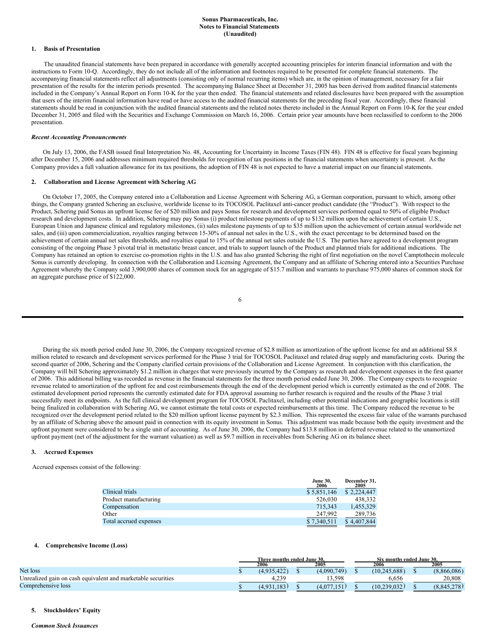# <span id="page-3-0"></span>**1. Basis of Presentation**

The unaudited financial statements have been prepared in accordance with generally accepted accounting principles for interim financial information and with the instructions to Form 10-Q. Accordingly, they do not include all of the information and footnotes required to be presented for complete financial statements. The accompanying financial statements reflect all adjustments (consisting only of normal recurring items) which are, in the opinion of management, necessary for a fair presentation of the results for the interim periods presented. The accompanying Balance Sheet at December 31, 2005 has been derived from audited financial statements included in the Company's Annual Report on Form 10-K for the year then ended. The financial statements and related disclosures have been prepared with the assumption that users of the interim financial information have read or have access to the audited financial statements for the preceding fiscal year. Accordingly, these financial statements should be read in conjunction with the audited financial statements and the related notes thereto included in the Annual Report on Form 10-K for the year ended December 31, 2005 and filed with the Securities and Exchange Commission on March 16, 2006. Certain prior year amounts have been reclassified to conform to the 2006 presentation.

#### *Recent Accounting Pronouncements*

On July 13, 2006, the FASB issued final Interpretation No. 48, Accounting for Uncertainty in Income Taxes (FIN 48). FIN 48 is effective for fiscal years beginning after December 15, 2006 and addresses minimum required thresholds for recognition of tax positions in the financial statements when uncertainty is present. As the Company provides a full valuation allowance for its tax positions, the adoption of FIN 48 is not expected to have a material impact on our financial statements.

#### **2. Collaboration and License Agreement with Schering AG**

On October 17, 2005, the Company entered into a Collaboration and License Agreement with Schering AG, a German corporation, pursuant to which, among other things, the Company granted Schering an exclusive, worldwide license to its TOCOSOL Paclitaxel anti-cancer product candidate (the "Product"). With respect to the Product, Schering paid Sonus an upfront license fee of \$20 million and pays Sonus for research and development services performed equal to 50% of eligible Product research and development costs. In addition, Schering may pay Sonus (i) product milestone payments of up to \$132 million upon the achievement of certain U.S., European Union and Japanese clinical and regulatory milestones, (ii) sales milestone payments of up to \$35 million upon the achievement of certain annual worldwide net sales, and (iii) upon commercialization, royalties ranging between 15-30% of annual net sales in the U.S., with the exact percentage to be determined based on the achievement of certain annual net sales thresholds, and royalties equal to 15% of the annual net sales outside the U.S. The parties have agreed to a development program consisting of the ongoing Phase 3 pivotal trial in metastatic breast cancer, and trials to support launch of the Product and planned trials for additional indications. The Company has retained an option to exercise co-promotion rights in the U.S. and has also granted Schering the right of first negotiation on the novel Camptothecin molecule Sonus is currently developing. In connection with the Collaboration and Licensing Agreement, the Company and an affiliate of Schering entered into a Securities Purchase Agreement whereby the Company sold 3,900,000 shares of common stock for an aggregate of \$15.7 million and warrants to purchase 975,000 shares of common stock for an aggregate purchase price of \$122,000.

| I<br>I<br>۰, |  |
|--------------|--|

During the six month period ended June 30, 2006, the Company recognized revenue of \$2.8 million as amortization of the upfront license fee and an additional \$8.8 million related to research and development services performed for the Phase 3 trial for TOCOSOL Paclitaxel and related drug supply and manufacturing costs. During the second quarter of 2006, Schering and the Company clarified certain provisions of the Collaboration and License Agreement. In conjunction with this clarification, the Company will bill Schering approximately \$1.2 million in charges that were previously incurred by the Company as research and development expenses in the first quarter of 2006. This additional billing was recorded as revenue in the financial statements for the three month period ended June 30, 2006. The Company expects to recognize revenue related to amortization of the upfront fee and cost reimbursements through the end of the development period which is currently estimated as the end of 2008. The estimated development period represents the currently estimated date for FDA approval assuming no further research is required and the results of the Phase 3 trial successfully meet its endpoints. As the full clinical development program for TOCOSOL Paclitaxel, including other potential indications and geographic locations is still being finalized in collaboration with Schering AG, we cannot estimate the total costs or expected reimbursements at this time. The Company reduced the revenue to be recognized over the development period related to the \$20 million upfront license payment by \$2.3 million. This represented the excess fair value of the warrants purchased by an affiliate of Schering above the amount paid in connection with its equity investment in Sonus. This adjustment was made because both the equity investment and the upfront payment were considered to be a single unit of accounting. As of June 30, 2006, the Company had \$13.8 million in deferred revenue related to the unamortized upfront payment (net of the adjustment for the warrant valuation) as well as \$9.7 million in receivables from Schering AG on its balance sheet.

# **3. Accrued Expenses**

Accrued expenses consist of the following:

|                        | <b>June 30.</b><br>2006 | December 31.<br>2005 |
|------------------------|-------------------------|----------------------|
| Clinical trials        | \$5,851,146             | \$2.224,447          |
| Product manufacturing  | 526,030                 | 438.332              |
| Compensation           | 715.343                 | 1.455.329            |
| Other                  | 247,992                 | 289.736              |
| Total accrued expenses | \$7.340.511             | \$4,407,844          |

# **4. Comprehensive Income (Loss)**

| Three months ended June 30. |              |             |  |              |      |                           |  |
|-----------------------------|--------------|-------------|--|--------------|------|---------------------------|--|
| 2006                        | 2005<br>2006 |             |  |              | 2005 |                           |  |
| (4.935.422)                 |              | (4.090.749) |  | (10.245.688) |      | (8.866.086)               |  |
| 4.239                       |              | 3.598       |  | 6.656        |      | 20,808                    |  |
| (4.931)<br>183              |              | (4.077      |  | (10.239.032) |      | (8,845,278)               |  |
|                             |              |             |  |              |      | Six months ended June 30. |  |

#### **5. Stockholders' Equity**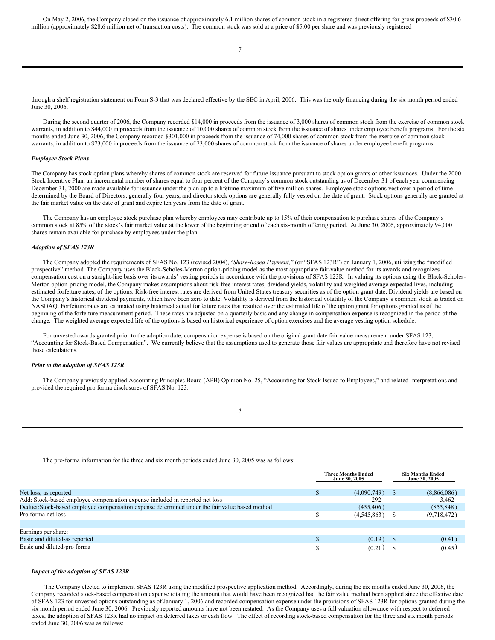On May 2, 2006, the Company closed on the issuance of approximately 6.1 million shares of common stock in a registered direct offering for gross proceeds of \$30.6 million (approximately \$28.6 million net of transaction costs). The common stock was sold at a price of \$5.00 per share and was previously registered

through a shelf registration statement on Form S-3 that was declared effective by the SEC in April, 2006. This was the only financing during the six month period ended June 30, 2006.

During the second quarter of 2006, the Company recorded \$14,000 in proceeds from the issuance of 3,000 shares of common stock from the exercise of common stock warrants, in addition to \$44,000 in proceeds from the issuance of 10,000 shares of common stock from the issuance of shares under employee benefit programs. For the six months ended June 30, 2006, the Company recorded \$301,000 in proceeds from the issuance of 74,000 shares of common stock from the exercise of common stock warrants, in addition to \$73,000 in proceeds from the issuance of 23,000 shares of common stock from the issuance of shares under employee benefit programs.

#### *Employee Stock Plans*

The Company has stock option plans whereby shares of common stock are reserved for future issuance pursuant to stock option grants or other issuances. Under the 2000 Stock Incentive Plan, an incremental number of shares equal to four percent of the Company's common stock outstanding as of December 31 of each year commencing December 31, 2000 are made available for issuance under the plan up to a lifetime maximum of five million shares. Employee stock options vest over a period of time determined by the Board of Directors, generally four years, and director stock options are generally fully vested on the date of grant. Stock options generally are granted at the fair market value on the date of grant and expire ten years from the date of grant.

The Company has an employee stock purchase plan whereby employees may contribute up to 15% of their compensation to purchase shares of the Company's common stock at 85% of the stock's fair market value at the lower of the beginning or end of each six-month offering period. At June 30, 2006, approximately 94,000 shares remain available for purchase by employees under the plan.

## *Adoption of SFAS 123R*

The Company adopted the requirements of SFAS No. 123 (revised 2004), "*Share-Based Payment,*" (or "SFAS 123R") on January 1, 2006, utilizing the "modified prospective" method. The Company uses the Black-Scholes-Merton option-pricing model as the most appropriate fair-value method for its awards and recognizes compensation cost on a straight-line basis over its awards' vesting periods in accordance with the provisions of SFAS 123R. In valuing its options using the Black-Scholes-Merton option-pricing model, the Company makes assumptions about risk-free interest rates, dividend yields, volatility and weighted average expected lives, including estimated forfeiture rates, of the options. Risk-free interest rates are derived from United States treasury securities as of the option grant date. Dividend yields are based on the Company's historical dividend payments, which have been zero to date. Volatility is derived from the historical volatility of the Company's common stock as traded on NASDAQ. Forfeiture rates are estimated using historical actual forfeiture rates that resulted over the estimated life of the option grant for options granted as of the beginning of the forfeiture measurement period. These rates are adjusted on a quarterly basis and any change in compensation expense is recognized in the period of the change. The weighted average expected life of the options is based on historical experience of option exercises and the average vesting option schedule.

For unvested awards granted prior to the adoption date, compensation expense is based on the original grant date fair value measurement under SFAS 123, "Accounting for Stock-Based Compensation". We currently believe that the assumptions used to generate those fair values are appropriate and therefore have not revised those calculations.

# *Prior to the adoption of SFAS 123R*

The Company previously applied Accounting Principles Board (APB) Opinion No. 25, "Accounting for Stock Issued to Employees," and related Interpretations and provided the required pro forma disclosures of SFAS No. 123.

| ï<br>×<br>۰, |  |
|--------------|--|

The pro-forma information for the three and six month periods ended June 30, 2005 was as follows:

|                                                                                               | <b>Three Months Ended</b><br>June 30, 2005 |             |  | <b>Six Months Ended</b><br>June 30, 2005 |
|-----------------------------------------------------------------------------------------------|--------------------------------------------|-------------|--|------------------------------------------|
| Net loss, as reported                                                                         |                                            | (4,090,749) |  | (8,866,086)                              |
| Add: Stock-based employee compensation expense included in reported net loss                  |                                            | 292         |  | 3,462                                    |
| Deduct:Stock-based employee compensation expense determined under the fair value based method |                                            | (455, 406)  |  | (855, 848)                               |
| Pro forma net loss                                                                            |                                            | (4,545,863) |  | (9,718,472)                              |
|                                                                                               |                                            |             |  |                                          |
| Earnings per share:                                                                           |                                            |             |  |                                          |
| Basic and diluted-as reported                                                                 |                                            | (0.19)      |  | (0.41)                                   |
| Basic and diluted-pro forma                                                                   |                                            | (0.21)      |  | (0.45)                                   |

# *Impact of the adoption of SFAS 123R*

The Company elected to implement SFAS 123R using the modified prospective application method. Accordingly, during the six months ended June 30, 2006, the Company recorded stock-based compensation expense totaling the amount that would have been recognized had the fair value method been applied since the effective date of SFAS 123 for unvested options outstanding as of January 1, 2006 and recorded compensation expense under the provisions of SFAS 123R for options granted during the six month period ended June 30, 2006. Previously reported amounts have not been restated. As the Company uses a full valuation allowance with respect to deferred taxes, the adoption of SFAS 123R had no impact on deferred taxes or cash flow. The effect of recording stock-based compensation for the three and six month periods ended June 30, 2006 was as follows: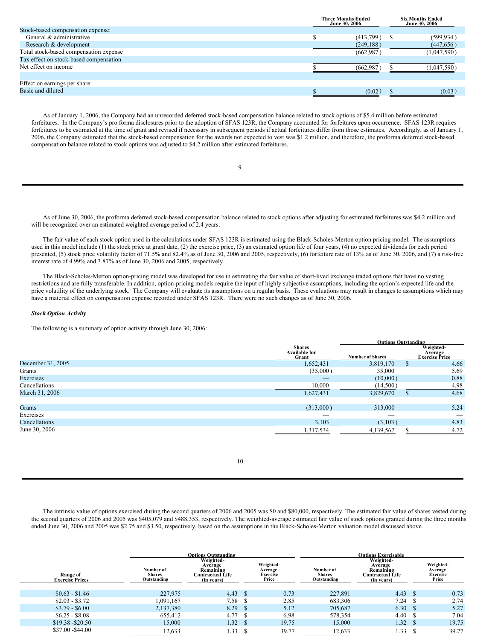|                                        | <b>Three Months Ended</b><br><b>June 30, 2006</b> | <b>Six Months Ended</b><br>June 30, 2006 |
|----------------------------------------|---------------------------------------------------|------------------------------------------|
| Stock-based compensation expense:      |                                                   |                                          |
| General & administrative               | (413,799)                                         | (599, 934)                               |
| Research & development                 | (249, 188)                                        | (447, 656)                               |
| Total stock-based compensation expense | (662,987)                                         | (1,047,590)                              |
| Tax effect on stock-based compensation | $-$                                               |                                          |
| Net effect on income                   | (662.987)                                         | (1,047,590)                              |
|                                        |                                                   |                                          |
| Effect on earnings per share:          |                                                   |                                          |
| Basic and diluted                      | (0.02)                                            | (0.03)                                   |

As of January 1, 2006, the Company had an unrecorded deferred stock-based compensation balance related to stock options of \$5.4 million before estimated forfeitures. In the Company's pro forma disclosures prior to the adoption of SFAS 123R, the Company accounted for forfeitures upon occurrence. SFAS 123R requires forfeitures to be estimated at the time of grant and revised if necessary in subsequent periods if actual forfeitures differ from those estimates. Accordingly, as of January 1, 2006, the Company estimated that the stock-based compensation for the awards not expected to vest was \$1.2 million, and therefore, the proforma deferred stock-based compensation balance related to stock options was adjusted to \$4.2 million after estimated forfeitures.

| ٧            |   |  |
|--------------|---|--|
|              |   |  |
| I<br>ł<br>۰. | I |  |
| v            |   |  |

As of June 30, 2006, the proforma deferred stock-based compensation balance related to stock options after adjusting for estimated forfeitures was \$4.2 million and will be recognized over an estimated weighted average period of 2.4 years.

The fair value of each stock option used in the calculations under SFAS 123R is estimated using the Black-Scholes-Merton option pricing model. The assumptions used in this model include (1) the stock price at grant date, (2) the exercise price, (3) an estimated option life of four years, (4) no expected dividends for each period presented, (5) stock price volatility factor of 71.5% and 82.4% as of June 30, 2006 and 2005, respectively, (6) forfeiture rate of 13% as of June 30, 2006, and (7) a risk-free interest rate of 4.99% and 3.87% as of June 30, 2006 and 2005, respectively.

The Black-Scholes-Merton option-pricing model was developed for use in estimating the fair value of short-lived exchange traded options that have no vesting restrictions and are fully transferable. In addition, option-pricing models require the input of highly subjective assumptions, including the option's expected life and the price volatility of the underlying stock. The Company will evaluate its assumptions on a regular basis. These evaluations may result in changes to assumptions which may have a material effect on compensation expense recorded under SFAS 123R. There were no such changes as of June 30, 2006.

### *Stock Option Activity*

The following is a summary of option activity through June 30, 2006:

|                   |                                                | <b>Options Outstanding</b> |  |                                               |  |  |
|-------------------|------------------------------------------------|----------------------------|--|-----------------------------------------------|--|--|
|                   | <b>Shares</b><br><b>Available for</b><br>Grant | <b>Number of Shares</b>    |  | Weighted-<br>Average<br><b>Exercise Price</b> |  |  |
| December 31, 2005 | 1,652,431                                      | 3,819,170                  |  | 4.66                                          |  |  |
| Grants            | (35,000)                                       | 35,000                     |  | 5.69                                          |  |  |
| Exercises         |                                                | (10,000)                   |  | 0.88                                          |  |  |
| Cancellations     | 10,000                                         | (14,500)                   |  | 4.98                                          |  |  |
| March 31, 2006    | 1,627,431                                      | 3,829,670                  |  | 4.68                                          |  |  |
| Grants            |                                                |                            |  |                                               |  |  |
|                   | (313,000)                                      | 313,000                    |  | 5.24                                          |  |  |
| Exercises         | -                                              | $\overline{\phantom{a}}$   |  |                                               |  |  |
| Cancellations     | 3,103                                          | (3,103)                    |  | 4.83                                          |  |  |
| June 30, 2006     | 1,317,534                                      | 4,139,567                  |  | 4.72                                          |  |  |

10

The intrinsic value of options exercised during the second quarters of 2006 and 2005 was \$0 and \$80,000, respectively. The estimated fair value of shares vested during the second quarters of 2006 and 2005 was \$405,079 and \$488,353, respectively. The weighted-average estimated fair value of stock options granted during the three months ended June 30, 2006 and 2005 was \$2.75 and \$3.50, respectively, based on the assumptions in the Black-Scholes-Merton valuation model discussed above.

|                                    | <b>Options Outstanding</b>                |                                                                            |  |                                                  | <b>Options Exercisable</b>                |                                                                     |  |                                                  |  |
|------------------------------------|-------------------------------------------|----------------------------------------------------------------------------|--|--------------------------------------------------|-------------------------------------------|---------------------------------------------------------------------|--|--------------------------------------------------|--|
| Range of<br><b>Exercise Prices</b> | Number of<br><b>Shares</b><br>Outstanding | Weighted-<br>Average<br>Remaining<br><b>Contractual Life</b><br>(in vears) |  | Weighted-<br>Average<br><b>Exercise</b><br>Price | Number of<br><b>Shares</b><br>Outstanding | Weighted-<br>Average<br>Remaining<br>Contractual Life<br>(in vears) |  | Weighted-<br>Average<br><b>Exercise</b><br>Price |  |
| $$0.63 - $1.46$                    | 227,975                                   | $4.43 \quad $$                                                             |  | 0.73                                             | 227,891                                   | $4.43 \quad$ \$                                                     |  | 0.73                                             |  |
| $$2.03 - $3.72$                    | 1,091,167                                 | $7.58$ \$                                                                  |  | 2.85                                             | 683,306                                   | 7.24                                                                |  | 2.74                                             |  |
| $$3.79 - $6.00$                    | 2,137,380                                 | $8.29$ \$                                                                  |  | 5.12                                             | 705,687                                   | 6.30                                                                |  | 5.27                                             |  |
| $$6.25 - $8.08$                    | 655,412                                   | 4.77                                                                       |  | 6.98                                             | 578,354                                   | 4.40                                                                |  | 7.04                                             |  |
| $$19.38 - $20.50$                  | 15,000                                    | 1.32                                                                       |  | 19.75                                            | 15,000                                    | 1.32                                                                |  | 19.75                                            |  |
| $$37.00 - $44.00$                  | 12,633                                    | 1.33                                                                       |  | 39.77                                            | 12,633                                    | 1.33                                                                |  | 39.77                                            |  |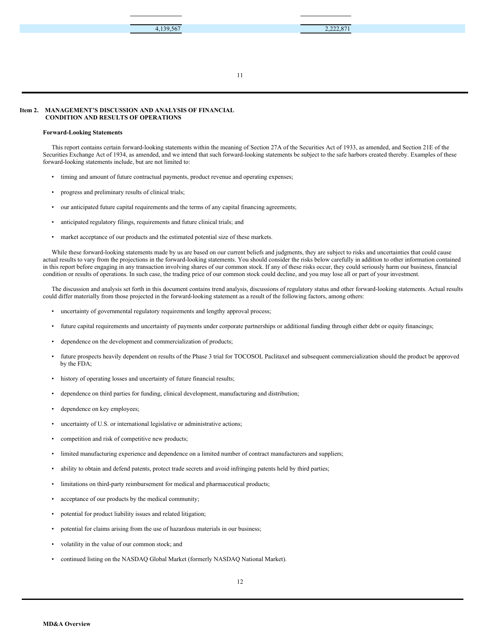<span id="page-6-0"></span>11

# **Item 2. MANAGEMENT'S DISCUSSION AND ANALYSIS OF FINANCIAL CONDITION AND RESULTS OF OPERATIONS**

# **Forward-Looking Statements**

This report contains certain forward-looking statements within the meaning of Section 27A of the Securities Act of 1933, as amended, and Section 21E of the Securities Exchange Act of 1934, as amended, and we intend that such forward-looking statements be subject to the safe harbors created thereby. Examples of these forward-looking statements include, but are not limited to:

- timing and amount of future contractual payments, product revenue and operating expenses;
- progress and preliminary results of clinical trials;
- our anticipated future capital requirements and the terms of any capital financing agreements;
- anticipated regulatory filings, requirements and future clinical trials; and
- market acceptance of our products and the estimated potential size of these markets.

While these forward-looking statements made by us are based on our current beliefs and judgments, they are subject to risks and uncertainties that could cause actual results to vary from the projections in the forward-looking statements. You should consider the risks below carefully in addition to other information contained in this report before engaging in any transaction involving shares of our common stock. If any of these risks occur, they could seriously harm our business, financial condition or results of operations. In such case, the trading price of our common stock could decline, and you may lose all or part of your investment.

The discussion and analysis set forth in this document contains trend analysis, discussions of regulatory status and other forward-looking statements. Actual results could differ materially from those projected in the forward-looking statement as a result of the following factors, among others:

- uncertainty of governmental regulatory requirements and lengthy approval process;
- future capital requirements and uncertainty of payments under corporate partnerships or additional funding through either debt or equity financings;
- dependence on the development and commercialization of products;
- future prospects heavily dependent on results of the Phase 3 trial for TOCOSOL Paclitaxel and subsequent commercialization should the product be approved by the FDA;
- history of operating losses and uncertainty of future financial results;
- dependence on third parties for funding, clinical development, manufacturing and distribution;
- dependence on key employees;
- uncertainty of U.S. or international legislative or administrative actions;
- competition and risk of competitive new products;
- limited manufacturing experience and dependence on a limited number of contract manufacturers and suppliers;
- ability to obtain and defend patents, protect trade secrets and avoid infringing patents held by third parties;
- limitations on third-party reimbursement for medical and pharmaceutical products;
- acceptance of our products by the medical community;
- potential for product liability issues and related litigation;
- potential for claims arising from the use of hazardous materials in our business;
- volatility in the value of our common stock; and
- continued listing on the NASDAQ Global Market (formerly NASDAQ National Market).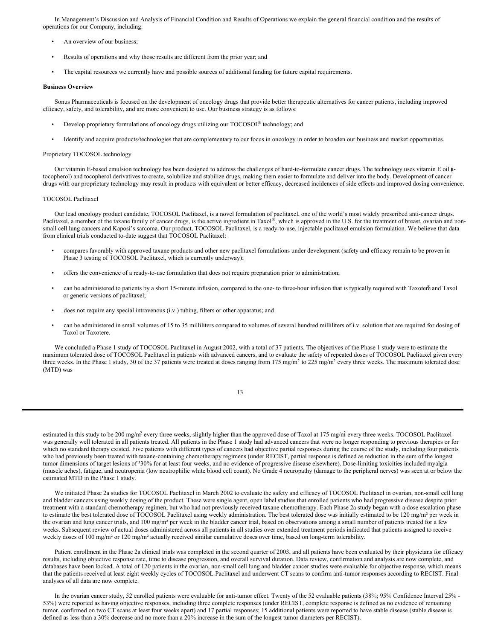In Management's Discussion and Analysis of Financial Condition and Results of Operations we explain the general financial condition and the results of operations for our Company, including:

- An overview of our business;
- Results of operations and why those results are different from the prior year; and
- The capital resources we currently have and possible sources of additional funding for future capital requirements.

#### **Business Overview**

Sonus Pharmaceuticals is focused on the development of oncology drugs that provide better therapeutic alternatives for cancer patients, including improved efficacy, safety, and tolerability, and are more convenient to use. Our business strategy is as follows:

- Develop proprietary formulations of oncology drugs utilizing our TOCOSOL<sup>®</sup> technology; and
- Identify and acquire products/technologies that are complementary to our focus in oncology in order to broaden our business and market opportunities.

## Proprietary TOCOSOL technology

Our vitamin E-based emulsion technology has been designed to address the challenges of hard-to-formulate cancer drugs. The technology uses vitamin E oil  $\phi$ tocopherol) and tocopherol derivatives to create, solubilize and stabilize drugs, making them easier to formulate and deliver into the body. Development of cancer drugs with our proprietary technology may result in products with equivalent or better efficacy, decreased incidences of side effects and improved dosing convenience.

#### TOCOSOL Paclitaxel

Our lead oncology product candidate, TOCOSOL Paclitaxel, is a novel formulation of paclitaxel, one of the world's most widely prescribed anti-cancer drugs. Paclitaxel, a member of the taxane family of cancer drugs, is the active ingredient in Taxol®, which is approved in the U.S. for the treatment of breast, ovarian and nonsmall cell lung cancers and Kaposi's sarcoma. Our product, TOCOSOL Paclitaxel, is a ready-to-use, injectable paclitaxel emulsion formulation. We believe that data from clinical trials conducted to-date suggest that TOCOSOL Paclitaxel:

- compares favorably with approved taxane products and other new paclitaxel formulations under development (safety and efficacy remain to be proven in Phase 3 testing of TOCOSOL Paclitaxel, which is currently underway);
- offers the convenience of a ready-to-use formulation that does not require preparation prior to administration;
- can be administered to patients by a short 15-minute infusion, compared to the one- to three-hour infusion that is typically required with Taxotere and Taxol or generic versions of paclitaxel;
- does not require any special intravenous (i.v.) tubing, filters or other apparatus; and
- can be administered in small volumes of 15 to 35 milliliters compared to volumes of several hundred milliliters of i.v. solution that are required for dosing of Taxol or Taxotere.

We concluded a Phase 1 study of TOCOSOL Paclitaxel in August 2002, with a total of 37 patients. The objectives of the Phase 1 study were to estimate the maximum tolerated dose of TOCOSOL Paclitaxel in patients with advanced cancers, and to evaluate the safety of repeated doses of TOCOSOL Paclitaxel given every three weeks. In the Phase 1 study, 30 of the 37 patients were treated at doses ranging from  $175 \text{ mg/m}^2$  to  $225 \text{ mg/m}^2$  every three weeks. The maximum tolerated dose (MTD) was

# 13

estimated in this study to be 200 mg/m<sup>2</sup> every three weeks, slightly higher than the approved dose of Taxol at 175 mg/m<sup>2</sup> every three weeks. TOCOSOL Paclitaxel was generally well tolerated in all patients treated. All patients in the Phase 1 study had advanced cancers that were no longer responding to previous therapies or for which no standard therapy existed. Five patients with different types of cancers had objective partial responses during the course of the study, including four patients who had previously been treated with taxane-containing chemotherapy regimens (under RECIST, partial response is defined as reduction in the sum of the longest tumor dimensions of target lesions of <sup>3</sup>30% for at least four weeks, and no evidence of progressive disease elsewhere). Dose-limiting toxicities included myalgia (muscle aches), fatigue, and neutropenia (low neutrophilic white blood cell count). No Grade 4 neuropathy (damage to the peripheral nerves) was seen at or below the estimated MTD in the Phase 1 study.

We initiated Phase 2a studies for TOCOSOL Paclitaxel in March 2002 to evaluate the safety and efficacy of TOCOSOL Paclitaxel in ovarian, non-small cell lung and bladder cancers using weekly dosing of the product. These were single agent, open label studies that enrolled patients who had progressive disease despite prior treatment with a standard chemotherapy regimen, but who had not previously received taxane chemotherapy. Each Phase 2a study began with a dose escalation phase to estimate the best tolerated dose of TOCOSOL Paclitaxel using weekly administration. The best tolerated dose was initially estimated to be 120 mg/m<sup>2</sup> per week in the ovarian and lung cancer trials, and 100 mg/m<sup>2</sup> per week in the bladder cancer trial, based on observations among a small number of patients treated for a few weeks. Subsequent review of actual doses administered across all patients in all studies over extended treatment periods indicated that patients assigned to receive weekly doses of 100 mg/m<sup>2</sup> or 120 mg/m<sup>2</sup> actually received similar cumulative doses over time, based on long-term tolerability.

Patient enrollment in the Phase 2a clinical trials was completed in the second quarter of 2003, and all patients have been evaluated by their physicians for efficacy results, including objective response rate, time to disease progression, and overall survival duration. Data review, confirmation and analysis are now complete, and databases have been locked. A total of 120 patients in the ovarian, non-small cell lung and bladder cancer studies were evaluable for objective response, which means that the patients received at least eight weekly cycles of TOCOSOL Paclitaxel and underwent CT scans to confirm anti-tumor responses according to RECIST. Final analyses of all data are now complete.

In the ovarian cancer study, 52 enrolled patients were evaluable for anti-tumor effect. Twenty of the 52 evaluable patients (38%; 95% Confidence Interval 25% - 53%) were reported as having objective responses, including three complete responses (under RECIST, complete response is defined as no evidence of remaining tumor, confirmed on two CT scans at least four weeks apart) and 17 partial responses; 15 additional patients were reported to have stable disease (stable disease is defined as less than a 30% decrease and no more than a 20% increase in the sum of the longest tumor diameters per RECIST).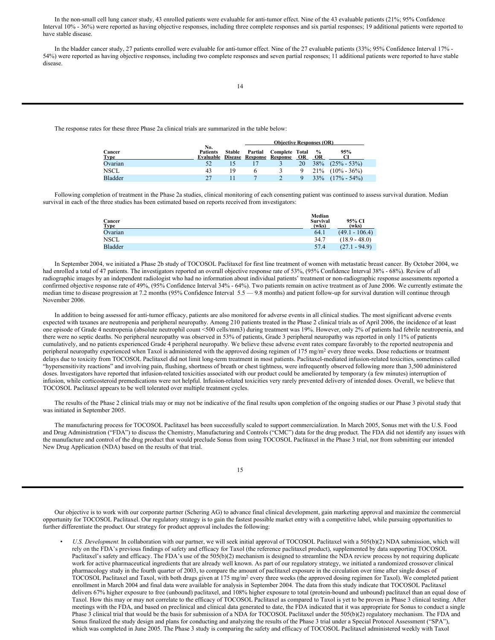In the non-small cell lung cancer study, 43 enrolled patients were evaluable for anti-tumor effect. Nine of the 43 evaluable patients (21%; 95% Confidence Interval 10% - 36%) were reported as having objective responses, including three complete responses and six partial responses; 19 additional patients were reported to have stable disease.

In the bladder cancer study, 27 patients enrolled were evaluable for anti-tumor effect. Nine of the 27 evaluable patients (33%; 95% Confidence Interval 17% - 54%) were reported as having objective responses, including two complete responses and seven partial responses; 11 additional patients were reported to have stable disease.

The response rates for these three Phase 2a clinical trials are summarized in the table below:

|                       |                        |               | <b>Objective Responses (OR)</b> |                                                              |    |                     |                        |  |
|-----------------------|------------------------|---------------|---------------------------------|--------------------------------------------------------------|----|---------------------|------------------------|--|
| Cancer<br><b>Type</b> | No.<br><b>Patients</b> | <b>Stable</b> | Partial                         | Complete Total<br><b>Evaluable Disease Response Response</b> | OR | $\frac{0}{0}$<br>OR | 95%                    |  |
| Ovarian               |                        |               |                                 |                                                              | 20 |                     | $38\%$ $(25\% - 53\%)$ |  |
| <b>NSCL</b>           | 43                     | 19            |                                 |                                                              |    |                     | $21\%$ $(10\% - 36\%)$ |  |
| <b>Bladder</b>        |                        |               |                                 |                                                              |    |                     | $33\%$ $(17\% - 54\%)$ |  |

Following completion of treatment in the Phase 2a studies, clinical monitoring of each consenting patient was continued to assess survival duration. Median survival in each of the three studies has been estimated based on reports received from investigators:

| Cancer<br><b>Type</b> | Median<br>Survival<br>(wks) | 95% CI<br>(wks)  |
|-----------------------|-----------------------------|------------------|
| Ovarian               | 64.1                        | $(49.1 - 106.4)$ |
| <b>NSCL</b>           | 34.7                        | $(18.9 - 48.0)$  |
| <b>Bladder</b>        | 57.4                        | $(27.1 - 94.9)$  |

In September 2004, we initiated a Phase 2b study of TOCOSOL Paclitaxel for first line treatment of women with metastatic breast cancer. By October 2004, we had enrolled a total of 47 patients. The investigators reported an overall objective response rate of 53%, (95% Confidence Interval 38% - 68%). Review of all radiographic images by an independent radiologist who had no information about individual patients' treatment or non-radiographic response assessments reported a confirmed objective response rate of 49%, (95% Confidence Interval 34% - 64%). Two patients remain on active treatment as of June 2006. We currently estimate the median time to disease progression at 7.2 months (95% Confidence Interval 5.5 — 9.8 months) and patient follow-up for survival duration will continue through November 2006.

In addition to being assessed for anti-tumor efficacy, patients are also monitored for adverse events in all clinical studies. The most significant adverse events expected with taxanes are neutropenia and peripheral neuropathy. Among 210 patients treated in the Phase 2 clinical trials as of April 2006, the incidence of at least one episode of Grade 4 neutropenia (absolute neutrophil count <500 cells/mm3) during treatment was 19%. However, only 2% of patients had febrile neutropenia, and there were no septic deaths. No peripheral neuropathy was observed in 53% of patients, Grade 3 peripheral neuropathy was reported in only 11% of patients cumulatively, and no patients experienced Grade 4 peripheral neuropathy. We believe these adverse event rates compare favorably to the reported neutropenia and peripheral neuropathy experienced when Taxol is administered with the approved dosing regimen of  $175 \text{ mg/m}^2$  every three weeks. Dose reductions or treatment delays due to toxicity from TOCOSOL Paclitaxel did not limit long-term treatment in most patients. Paclitaxel-mediated infusion-related toxicities, sometimes called "hypersensitivity reactions" and involving pain, flushing, shortness of breath or chest tightness, were infrequently observed following more than 3,500 administered doses. Investigators have reported that infusion-related toxicities associated with our product could be ameliorated by temporary (a few minutes) interruption of infusion, while corticosteroid premedications were not helpful. Infusion-related toxicities very rarely prevented delivery of intended doses. Overall, we believe that TOCOSOL Paclitaxel appears to be well tolerated over multiple treatment cycles.

The results of the Phase 2 clinical trials may or may not be indicative of the final results upon completion of the ongoing studies or our Phase 3 pivotal study that was initiated in September 2005.

The manufacturing process for TOCOSOL Paclitaxel has been successfully scaled to support commercialization. In March 2005, Sonus met with the U.S. Food and Drug Administration ("FDA") to discuss the Chemistry, Manufacturing and Controls ("CMC") data for the drug product. The FDA did not identify any issues with the manufacture and control of the drug product that would preclude Sonus from using TOCOSOL Paclitaxel in the Phase 3 trial, nor from submitting our intended New Drug Application (NDA) based on the results of that trial.

Our objective is to work with our corporate partner (Schering AG) to advance final clinical development, gain marketing approval and maximize the commercial opportunity for TOCOSOL Paclitaxel. Our regulatory strategy is to gain the fastest possible market entry with a competitive label, while pursuing opportunities to further differentiate the product. Our strategy for product approval includes the following:

• *U.S. Development.* In collaboration with our partner, we will seek initial approval of TOCOSOL Paclitaxel with a 505(b)(2) NDA submission, which will rely on the FDA's previous findings of safety and efficacy for Taxol (the reference paclitaxel product), supplemented by data supporting TOCOSOL Paclitaxel's safety and efficacy. The FDA's use of the 505(b)(2) mechanism is designed to streamline the NDA review process by not requiring duplicate work for active pharmaceutical ingredients that are already well known. As part of our regulatory strategy, we initiated a randomized crossover clinical pharmacology study in the fourth quarter of 2003, to compare the amount of paclitaxel exposure in the circulation over time after single doses of TOCOSOL Paclitaxel and Taxol, with both drugs given at  $175 \text{ mg/m}^2$  every three weeks (the approved dosing regimen for Taxol). We completed patient enrollment in March 2004 and final data were available for analysis in September 2004. The data from this study indicate that TOCOSOL Paclitaxel delivers 67% higher exposure to free (unbound) paclitaxel, and 108% higher exposure to total (protein-bound and unbound) paclitaxel than an equal dose of Taxol. How this may or may not correlate to the efficacy of TOCOSOL Paclitaxel as compared to Taxol is yet to be proven in Phase 3 clinical testing. After meetings with the FDA, and based on preclinical and clinical data generated to date, the FDA indicated that it was appropriate for Sonus to conduct a single Phase 3 clinical trial that would be the basis for submission of a NDA for TOCOSOL Paclitaxel under the 505(b)(2) regulatory mechanism. The FDA and Sonus finalized the study design and plans for conducting and analyzing the results of the Phase 3 trial under a Special Protocol Assessment ("SPA"), which was completed in June 2005. The Phase 3 study is comparing the safety and efficacy of TOCOSOL Paclitaxel administered weekly with Taxol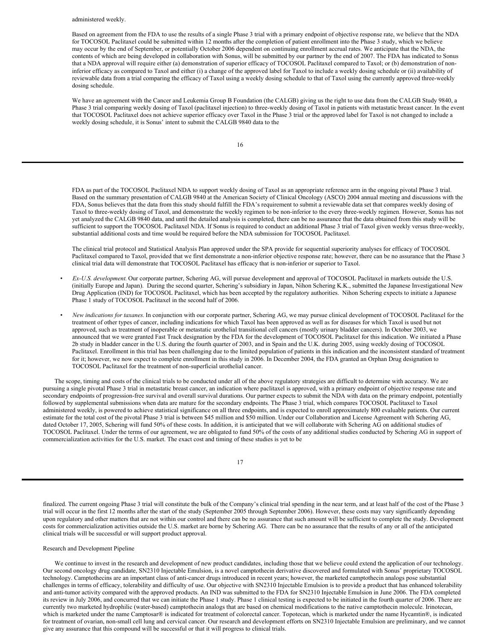administered weekly.

Based on agreement from the FDA to use the results of a single Phase 3 trial with a primary endpoint of objective response rate, we believe that the NDA for TOCOSOL Paclitaxel could be submitted within 12 months after the completion of patient enrollment into the Phase 3 study, which we believe may occur by the end of September, or potentially October 2006 dependent on continuing enrollment accrual rates. We anticipate that the NDA, the contents of which are being developed in collaboration with Sonus, will be submitted by our partner by the end of 2007. The FDA has indicated to Sonus that a NDA approval will require either (a) demonstration of superior efficacy of TOCOSOL Paclitaxel compared to Taxol; or (b) demonstration of noninferior efficacy as compared to Taxol and either (i) a change of the approved label for Taxol to include a weekly dosing schedule or (ii) availability of reviewable data from a trial comparing the efficacy of Taxol using a weekly dosing schedule to that of Taxol using the currently approved three-weekly dosing schedule.

We have an agreement with the Cancer and Leukemia Group B Foundation (the CALGB) giving us the right to use data from the CALGB Study 9840, a Phase 3 trial comparing weekly dosing of Taxol (paclitaxel injection) to three-weekly dosing of Taxol in patients with metastatic breast cancer. In the event that TOCOSOL Paclitaxel does not achieve superior efficacy over Taxol in the Phase 3 trial or the approved label for Taxol is not changed to include a weekly dosing schedule, it is Sonus' intent to submit the CALGB 9840 data to the

16

FDA as part of the TOCOSOL Paclitaxel NDA to support weekly dosing of Taxol as an appropriate reference arm in the ongoing pivotal Phase 3 trial. Based on the summary presentation of CALGB 9840 at the American Society of Clinical Oncology (ASCO) 2004 annual meeting and discussions with the FDA, Sonus believes that the data from this study should fulfill the FDA's requirement to submit a reviewable data set that compares weekly dosing of Taxol to three-weekly dosing of Taxol, and demonstrate the weekly regimen to be non-inferior to the every three-weekly regimen. However, Sonus has not yet analyzed the CALGB 9840 data, and until the detailed analysis is completed, there can be no assurance that the data obtained from this study will be sufficient to support the TOCOSOL Paclitaxel NDA. If Sonus is required to conduct an additional Phase 3 trial of Taxol given weekly versus three-weekly, substantial additional costs and time would be required before the NDA submission for TOCOSOL Paclitaxel.

The clinical trial protocol and Statistical Analysis Plan approved under the SPA provide for sequential superiority analyses for efficacy of TOCOSOL Paclitaxel compared to Taxol, provided that we first demonstrate a non-inferior objective response rate; however, there can be no assurance that the Phase 3 clinical trial data will demonstrate that TOCOSOL Paclitaxel has efficacy that is non-inferior or superior to Taxol.

- *Ex-U.S. development.* Our corporate partner, Schering AG, will pursue development and approval of TOCOSOL Paclitaxel in markets outside the U.S. (initially Europe and Japan). During the second quarter, Schering's subsidiary in Japan, Nihon Schering K.K., submitted the Japanese Investigational New Drug Application (IND) for TOCOSOL Paclitaxel, which has been accepted by the regulatory authorities. Nihon Schering expects to initiate a Japanese Phase 1 study of TOCOSOL Paclitaxel in the second half of 2006.
- *New indications for taxanes.* In conjunction with our corporate partner, Schering AG, we may pursue clinical development of TOCOSOL Paclitaxel for the treatment of other types of cancer, including indications for which Taxol has been approved as well as for diseases for which Taxol is used but not approved, such as treatment of inoperable or metastatic urothelial transitional cell cancers (mostly urinary bladder cancers). In October 2003, we announced that we were granted Fast Track designation by the FDA for the development of TOCOSOL Paclitaxel for this indication. We initiated a Phase 2b study in bladder cancer in the U.S. during the fourth quarter of 2003, and in Spain and the U.K. during 2005, using weekly dosing of TOCOSOL Paclitaxel. Enrollment in this trial has been challenging due to the limited population of patients in this indication and the inconsistent standard of treatment for it; however, we now expect to complete enrollment in this study in 2006. In December 2004, the FDA granted an Orphan Drug designation to TOCOSOL Paclitaxel for the treatment of non-superficial urothelial cancer.

The scope, timing and costs of the clinical trials to be conducted under all of the above regulatory strategies are difficult to determine with accuracy. We are pursuing a single pivotal Phase 3 trial in metastatic breast cancer, an indication where paclitaxel is approved, with a primary endpoint of objective response rate and secondary endpoints of progression-free survival and overall survival durations. Our partner expects to submit the NDA with data on the primary endpoint, potentially followed by supplemental submissions when data are mature for the secondary endpoints. The Phase 3 trial, which compares TOCOSOL Paclitaxel to Taxol administered weekly, is powered to achieve statistical significance on all three endpoints, and is expected to enroll approximately 800 evaluable patients. Our current estimate for the total cost of the pivotal Phase 3 trial is between \$45 million and \$50 million. Under our Collaboration and License Agreement with Schering AG, dated October 17, 2005, Schering will fund 50% of these costs. In addition, it is anticipated that we will collaborate with Schering AG on additional studies of TOCOSOL Paclitaxel. Under the terms of our agreement, we are obligated to fund 50% of the costs of any additional studies conducted by Schering AG in support of commercialization activities for the U.S. market. The exact cost and timing of these studies is yet to be

finalized. The current ongoing Phase 3 trial will constitute the bulk of the Company's clinical trial spending in the near term, and at least half of the cost of the Phase 3 trial will occur in the first 12 months after the start of the study (September 2005 through September 2006). However, these costs may vary significantly depending upon regulatory and other matters that are not within our control and there can be no assurance that such amount will be sufficient to complete the study. Development costs for commercialization activities outside the U.S. market are borne by Schering AG. There can be no assurance that the results of any or all of the anticipated clinical trials will be successful or will support product approval.

#### Research and Development Pipeline

We continue to invest in the research and development of new product candidates, including those that we believe could extend the application of our technology. Our second oncology drug candidate, SN2310 Injectable Emulsion, is a novel camptothecin derivative discovered and formulated with Sonus' proprietary TOCOSOL technology. Camptothecins are an important class of anti-cancer drugs introduced in recent years; however, the marketed camptothecin analogs pose substantial challenges in terms of efficacy, tolerability and difficulty of use. Our objective with SN2310 Injectable Emulsion is to provide a product that has enhanced tolerability and anti-tumor activity compared with the approved products. An IND was submitted to the FDA for SN2310 Injectable Emulsion in June 2006. The FDA completed its review in July 2006, and concurred that we can initiate the Phase 1 study. Phase 1 clinical testing is expected to be initiated in the fourth quarter of 2006. There are currently two marketed hydrophilic (water-based) camptothecin analogs that are based on chemical modifications to the native camptothecin molecule. Irinotecan, which is marketed under the name Camptosar® is indicated for treatment of colorectal cancer. Topotecan, which is marketed under the name Hycamtin®, is indicated for treatment of ovarian, non-small cell lung and cervical cancer. Our research and development efforts on SN2310 Injectable Emulsion are preliminary, and we cannot give any assurance that this compound will be successful or that it will progress to clinical trials.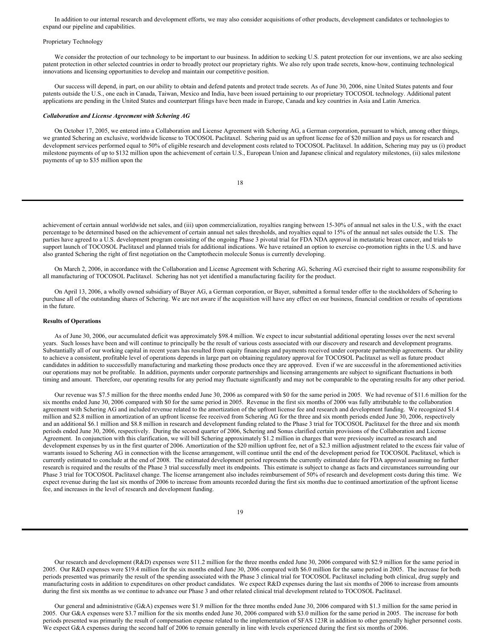In addition to our internal research and development efforts, we may also consider acquisitions of other products, development candidates or technologies to expand our pipeline and capabilities.

#### Proprietary Technology

We consider the protection of our technology to be important to our business. In addition to seeking U.S. patent protection for our inventions, we are also seeking patent protection in other selected countries in order to broadly protect our proprietary rights. We also rely upon trade secrets, know-how, continuing technological innovations and licensing opportunities to develop and maintain our competitive position.

Our success will depend, in part, on our ability to obtain and defend patents and protect trade secrets. As of June 30, 2006, nine United States patents and four patents outside the U.S., one each in Canada, Taiwan, Mexico and India, have been issued pertaining to our proprietary TOCOSOL technology. Additional patent applications are pending in the United States and counterpart filings have been made in Europe, Canada and key countries in Asia and Latin America.

## *Collaboration and License Agreement with Schering AG*

On October 17, 2005, we entered into a Collaboration and License Agreement with Schering AG, a German corporation, pursuant to which, among other things, we granted Schering an exclusive, worldwide license to TOCOSOL Paclitaxel. Schering paid us an upfront license fee of \$20 million and pays us for research and development services performed equal to 50% of eligible research and development costs related to TOCOSOL Paclitaxel. In addition, Schering may pay us (i) product milestone payments of up to \$132 million upon the achievement of certain U.S., European Union and Japanese clinical and regulatory milestones, (ii) sales milestone payments of up to \$35 million upon the

| I<br>M.<br>۹ |
|--------------|

achievement of certain annual worldwide net sales, and (iii) upon commercialization, royalties ranging between 15-30% of annual net sales in the U.S., with the exact percentage to be determined based on the achievement of certain annual net sales thresholds, and royalties equal to 15% of the annual net sales outside the U.S. The parties have agreed to a U.S. development program consisting of the ongoing Phase 3 pivotal trial for FDA NDA approval in metastatic breast cancer, and trials to support launch of TOCOSOL Paclitaxel and planned trials for additional indications. We have retained an option to exercise co-promotion rights in the U.S. and have also granted Schering the right of first negotiation on the Camptothecin molecule Sonus is currently developing.

On March 2, 2006, in accordance with the Collaboration and License Agreement with Schering AG, Schering AG exercised their right to assume responsibility for all manufacturing of TOCOSOL Paclitaxel. Schering has not yet identified a manufacturing facility for the product.

On April 13, 2006, a wholly owned subsidiary of Bayer AG, a German corporation, or Bayer, submitted a formal tender offer to the stockholders of Schering to purchase all of the outstanding shares of Schering. We are not aware if the acquisition will have any effect on our business, financial condition or results of operations in the future.

#### **Results of Operations**

As of June 30, 2006, our accumulated deficit was approximately \$98.4 million. We expect to incur substantial additional operating losses over the next several years. Such losses have been and will continue to principally be the result of various costs associated with our discovery and research and development programs. Substantially all of our working capital in recent years has resulted from equity financings and payments received under corporate partnership agreements. Our ability to achieve a consistent, profitable level of operations depends in large part on obtaining regulatory approval for TOCOSOL Paclitaxel as well as future product candidates in addition to successfully manufacturing and marketing those products once they are approved. Even if we are successful in the aforementioned activities our operations may not be profitable. In addition, payments under corporate partnerships and licensing arrangements are subject to significant fluctuations in both timing and amount. Therefore, our operating results for any period may fluctuate significantly and may not be comparable to the operating results for any other period.

Our revenue was \$7.5 million for the three months ended June 30, 2006 as compared with \$0 for the same period in 2005. We had revenue of \$11.6 million for the six months ended June 30, 2006 compared with \$0 for the same period in 2005. Revenue in the first six months of 2006 was fully attributable to the collaboration agreement with Schering AG and included revenue related to the amortization of the upfront license fee and research and development funding. We recognized \$1.4 million and \$2.8 million in amortization of an upfront license fee received from Schering AG for the three and six month periods ended June 30, 2006, respectively and an additional \$6.1 million and \$8.8 million in research and development funding related to the Phase 3 trial for TOCOSOL Paclitaxel for the three and six month periods ended June 30, 2006, respectively. During the second quarter of 2006, Schering and Sonus clarified certain provisions of the Collaboration and License Agreement. In conjunction with this clarification, we will bill Schering approximately \$1.2 million in charges that were previously incurred as research and development expenses by us in the first quarter of 2006. Amortization of the \$20 million upfront fee, net of a \$2.3 million adjustment related to the excess fair value of warrants issued to Schering AG in connection with the license arrangement, will continue until the end of the development period for TOCOSOL Paclitaxel, which is currently estimated to conclude at the end of 2008. The estimated development period represents the currently estimated date for FDA approval assuming no further research is required and the results of the Phase 3 trial successfully meet its endpoints. This estimate is subject to change as facts and circumstances surrounding our Phase 3 trial for TOCOSOL Paclitaxel change. The license arrangement also includes reimbursement of 50% of research and development costs during this time. We expect revenue during the last six months of 2006 to increase from amounts recorded during the first six months due to continued amortization of the upfront license fee, and increases in the level of research and development funding.

19

Our research and development (R&D) expenses were \$11.2 million for the three months ended June 30, 2006 compared with \$2.9 million for the same period in 2005. Our R&D expenses were \$19.4 million for the six months ended June 30, 2006 compared with \$6.0 million for the same period in 2005. The increase for both periods presented was primarily the result of the spending associated with the Phase 3 clinical trial for TOCOSOL Paclitaxel including both clinical, drug supply and manufacturing costs in addition to expenditures on other product candidates. We expect R&D expenses during the last six months of 2006 to increase from amounts during the first six months as we continue to advance our Phase 3 and other related clinical trial development related to TOCOSOL Paclitaxel.

Our general and administrative (G&A) expenses were \$1.9 million for the three months ended June 30, 2006 compared with \$1.3 million for the same period in 2005. Our G&A expenses were \$3.7 million for the six months ended June 30, 2006 compared with \$3.0 million for the same period in 2005. The increase for both periods presented was primarily the result of compensation expense related to the implementation of SFAS 123R in addition to other generally higher personnel costs. We expect G&A expenses during the second half of 2006 to remain generally in line with levels experienced during the first six months of 2006.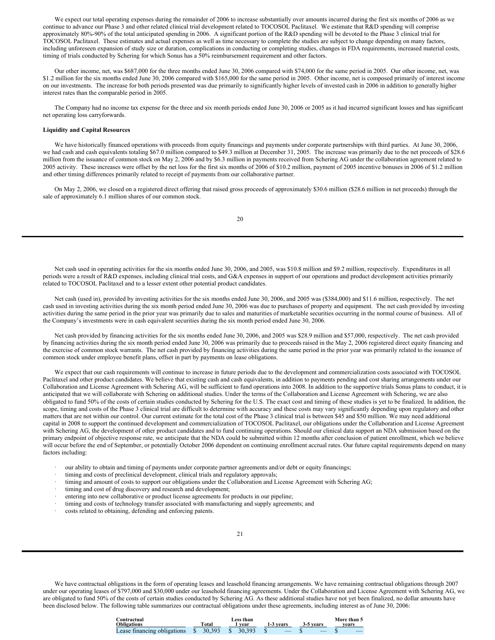We expect our total operating expenses during the remainder of 2006 to increase substantially over amounts incurred during the first six months of 2006 as we continue to advance our Phase 3 and other related clinical trial development related to TOCOSOL Paclitaxel. We estimate that R&D spending will comprise approximately 80%-90% of the total anticipated spending in 2006. A significant portion of the R&D spending will be devoted to the Phase 3 clinical trial for TOCOSOL Paclitaxel. These estimates and actual expenses as well as time necessary to complete the studies are subject to change depending on many factors, including unforeseen expansion of study size or duration, complications in conducting or completing studies, changes in FDA requirements, increased material costs, timing of trials conducted by Schering for which Sonus has a 50% reimbursement requirement and other factors.

Our other income, net, was \$687,000 for the three months ended June 30, 2006 compared with \$74,000 for the same period in 2005. Our other income, net, was \$1.2 million for the six months ended June 30, 2006 compared with \$165,000 for the same period in 2005. Other income, net is composed primarily of interest income on our investments. The increase for both periods presented was due primarily to significantly higher levels of invested cash in 2006 in addition to generally higher interest rates than the comparable period in 2005.

The Company had no income tax expense for the three and six month periods ended June 30, 2006 or 2005 as it had incurred significant losses and has significant net operating loss carryforwards.

# **Liquidity and Capital Resources**

We have historically financed operations with proceeds from equity financings and payments under corporate partnerships with third parties. At June 30, 2006, we had cash and cash equivalents totaling \$67.0 million compared to \$49.3 million at December 31, 2005. The increase was primarily due to the net proceeds of \$28.6 million from the issuance of common stock on May 2, 2006 and by \$6.3 million in payments received from Schering AG under the collaboration agreement related to 2005 activity. These increases were offset by the net loss for the first six months of 2006 of \$10.2 million, payment of 2005 incentive bonuses in 2006 of \$1.2 million and other timing differences primarily related to receipt of payments from our collaborative partner.

On May 2, 2006, we closed on a registered direct offering that raised gross proceeds of approximately \$30.6 million (\$28.6 million in net proceeds) through the sale of approximately 6.1 million shares of our common stock.

20

Net cash used in operating activities for the six months ended June 30, 2006, and 2005, was \$10.8 million and \$9.2 million, respectively. Expenditures in all periods were a result of R&D expenses, including clinical trial costs, and G&A expenses in support of our operations and product development activities primarily related to TOCOSOL Paclitaxel and to a lesser extent other potential product candidates.

Net cash (used in), provided by investing activities for the six months ended June 30, 2006, and 2005 was (\$384,000) and \$11.6 million, respectively. The net cash used in investing activities during the six month period ended June 30, 2006 was due to purchases of property and equipment. The net cash provided by investing activities during the same period in the prior year was primarily due to sales and maturities of marketable securities occurring in the normal course of business. All of the Company's investments were in cash equivalent securities during the six month period ended June 30, 2006.

Net cash provided by financing activities for the six months ended June 30, 2006, and 2005 was \$28.9 million and \$57,000, respectively. The net cash provided by financing activities during the six month period ended June 30, 2006 was primarily due to proceeds raised in the May 2, 2006 registered direct equity financing and the exercise of common stock warrants. The net cash provided by financing activities during the same period in the prior year was primarily related to the issuance of common stock under employee benefit plans, offset in part by payments on lease obligations.

We expect that our cash requirements will continue to increase in future periods due to the development and commercialization costs associated with TOCOSOL Paclitaxel and other product candidates. We believe that existing cash and cash equivalents, in addition to payments pending and cost sharing arrangements under our Collaboration and License Agreement with Schering AG, will be sufficient to fund operations into 2008. In addition to the supportive trials Sonus plans to conduct, it is anticipated that we will collaborate with Schering on additional studies. Under the terms of the Collaboration and License Agreement with Schering, we are also obligated to fund 50% of the costs of certain studies conducted by Schering for the U.S. The exact cost and timing of these studies is yet to be finalized. In addition, the scope, timing and costs of the Phase 3 clinical trial are difficult to determine with accuracy and these costs may vary significantly depending upon regulatory and other matters that are not within our control. Our current estimate for the total cost of the Phase 3 clinical trial is between \$45 and \$50 million. We may need additional capital in 2008 to support the continued development and commercialization of TOCOSOL Paclitaxel, our obligations under the Collaboration and License Agreement with Schering AG, the development of other product candidates and to fund continuing operations. Should our clinical data support an NDA submission based on the primary endpoint of objective response rate, we anticipate that the NDA could be submitted within 12 months after conclusion of patient enrollment, which we believe will occur before the end of September, or potentially October 2006 dependent on continuing enrollment accrual rates. Our future capital requirements depend on many factors including:

- our ability to obtain and timing of payments under corporate partner agreements and/or debt or equity financings;
- timing and costs of preclinical development, clinical trials and regulatory approvals;
- timing and amount of costs to support our obligations under the Collaboration and License Agreement with Schering AG;
- timing and cost of drug discovery and research and development;
- entering into new collaborative or product license agreements for products in our pipeline;
- timing and costs of technology transfer associated with manufacturing and supply agreements; and
- costs related to obtaining, defending and enforcing patents.

21

We have contractual obligations in the form of operating leases and leasehold financing arrangements. We have remaining contractual obligations through 2007 under our operating leases of \$797,000 and \$30,000 under our leasehold financing agreements. Under the Collaboration and License Agreement with Schering AG, we are obligated to fund 50% of the costs of certain studies conducted by Schering AG. As these additional studies have not yet been finalized, no dollar amounts have been disclosed below. The following table summarizes our contractual obligations under these agreements, including interest as of June 30, 2006:

| Contractual                 |           | Less than |           |           | More than 5 |
|-----------------------------|-----------|-----------|-----------|-----------|-------------|
| Obligations                 | Total     | vear      | 1-3 vears | 3-5 vears | vears       |
| Lease financing obligations | \$ 30.393 | 30.393    |           |           |             |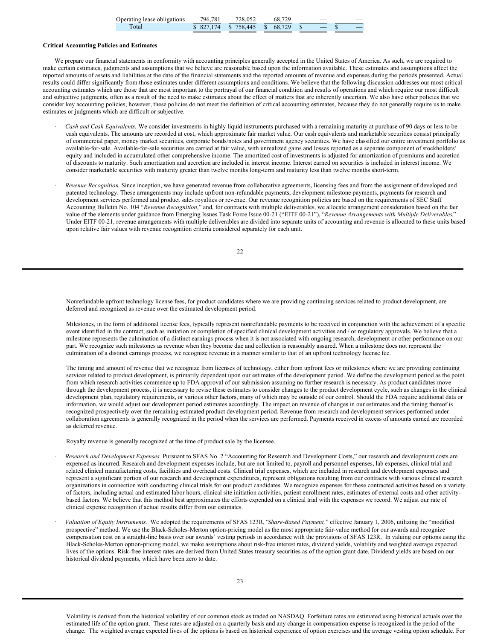| Operating lease obligations | 796.781 | 728.052                         | 68.729 |  |
|-----------------------------|---------|---------------------------------|--------|--|
| Total                       |         | \$ 827,174 \$ 758,445 \$ 68,729 |        |  |

#### **Critical Accounting Policies and Estimates**

We prepare our financial statements in conformity with accounting principles generally accepted in the United States of America. As such, we are required to make certain estimates, judgments and assumptions that we believe are reasonable based upon the information available. These estimates and assumptions affect the reported amounts of assets and liabilities at the date of the financial statements and the reported amounts of revenue and expenses during the periods presented. Actual results could differ significantly from those estimates under different assumptions and conditions. We believe that the following discussion addresses our most critical accounting estimates which are those that are most important to the portrayal of our financial condition and results of operations and which require our most difficult and subjective judgments, often as a result of the need to make estimates about the effect of matters that are inherently uncertain. We also have other policies that we consider key accounting policies; however, these policies do not meet the definition of critical accounting estimates, because they do not generally require us to make estimates or judgments which are difficult or subjective.

- · *Cash and Cash Equivalents.* We consider investments in highly liquid instruments purchased with a remaining maturity at purchase of 90 days or less to be cash equivalents. The amounts are recorded at cost, which approximate fair market value. Our cash equivalents and marketable securities consist principally of commercial paper, money market securities, corporate bonds/notes and government agency securities. We have classified our entire investment portfolio as available-for-sale. Available-for-sale securities are carried at fair value, with unrealized gains and losses reported as a separate component of stockholders' equity and included in accumulated other comprehensive income. The amortized cost of investments is adjusted for amortization of premiums and accretion of discounts to maturity. Such amortization and accretion are included in interest income. Interest earned on securities is included in interest income. We consider marketable securities with maturity greater than twelve months long-term and maturity less than twelve months short-term.
- Revenue Recognition. Since inception, we have generated revenue from collaborative agreements, licensing fees and from the assignment of developed and patented technology. These arrangements may include upfront non-refundable payments, development milestone payments, payments for research and development services performed and product sales royalties or revenue. Our revenue recognition policies are based on the requirements of SEC Staff Accounting Bulletin No. 104 "*Revenue Recognition*," and, for contracts with multiple deliverables, we allocate arrangement consideration based on the fair value of the elements under guidance from Emerging Issues Task Force Issue 00-21 ("EITF 00-21"), "*Revenue Arrangements with Multiple Deliverables*." Under EITF 00-21, revenue arrangements with multiple deliverables are divided into separate units of accounting and revenue is allocated to these units based upon relative fair values with revenue recognition criteria considered separately for each unit.

Nonrefundable upfront technology license fees, for product candidates where we are providing continuing services related to product development, are deferred and recognized as revenue over the estimated development period.

Milestones, in the form of additional license fees, typically represent nonrefundable payments to be received in conjunction with the achievement of a specific event identified in the contract, such as initiation or completion of specified clinical development activities and / or regulatory approvals. We believe that a milestone represents the culmination of a distinct earnings process when it is not associated with ongoing research, development or other performance on our part. We recognize such milestones as revenue when they become due and collection is reasonably assured. When a milestone does not represent the culmination of a distinct earnings process, we recognize revenue in a manner similar to that of an upfront technology license fee.

The timing and amount of revenue that we recognize from licenses of technology, either from upfront fees or milestones where we are providing continuing services related to product development, is primarily dependent upon our estimates of the development period. We define the development period as the point from which research activities commence up to FDA approval of our submission assuming no further research is necessary. As product candidates move through the development process, it is necessary to revise these estimates to consider changes to the product development cycle, such as changes in the clinical development plan, regulatory requirements, or various other factors, many of which may be outside of our control. Should the FDA require additional data or information, we would adjust our development period estimates accordingly. The impact on revenue of changes in our estimates and the timing thereof is recognized prospectively over the remaining estimated product development period. Revenue from research and development services performed under collaboration agreements is generally recognized in the period when the services are performed. Payments received in excess of amounts earned are recorded as deferred revenue.

Royalty revenue is generally recognized at the time of product sale by the licensee.

- · *Research and Development Expenses.* Pursuant to SFAS No. 2 "Accounting for Research and Development Costs," our research and development costs are expensed as incurred. Research and development expenses include, but are not limited to, payroll and personnel expenses, lab expenses, clinical trial and related clinical manufacturing costs, facilities and overhead costs. Clinical trial expenses, which are included in research and development expenses and represent a significant portion of our research and development expenditures, represent obligations resulting from our contracts with various clinical research organizations in connection with conducting clinical trials for our product candidates. We recognize expenses for these contracted activities based on a variety of factors, including actual and estimated labor hours, clinical site initiation activities, patient enrollment rates, estimates of external costs and other activitybased factors. We believe that this method best approximates the efforts expended on a clinical trial with the expenses we record. We adjust our rate of clinical expense recognition if actual results differ from our estimates.
- · *Valuation of Equity Instruments.* We adopted the requirements of SFAS 123R, "*Share-Based Payment,*" effective January 1, 2006, utilizing the "modified prospective" method. We use the Black-Scholes-Merton option-pricing model as the most appropriate fair-value method for our awards and recognize compensation cost on a straight-line basis over our awards' vesting periods in accordance with the provisions of SFAS 123R. In valuing our options using the Black-Scholes-Merton option-pricing model, we make assumptions about risk-free interest rates, dividend yields, volatility and weighted average expected lives of the options. Risk-free interest rates are derived from United States treasury securities as of the option grant date. Dividend yields are based on our historical dividend payments, which have been zero to date.

Volatility is derived from the historical volatility of our common stock as traded on NASDAQ. Forfeiture rates are estimated using historical actuals over the estimated life of the option grant. These rates are adjusted on a quarterly basis and any change in compensation expense is recognized in the period of the change. The weighted average expected lives of the options is based on historical experience of option exercises and the average vesting option schedule. For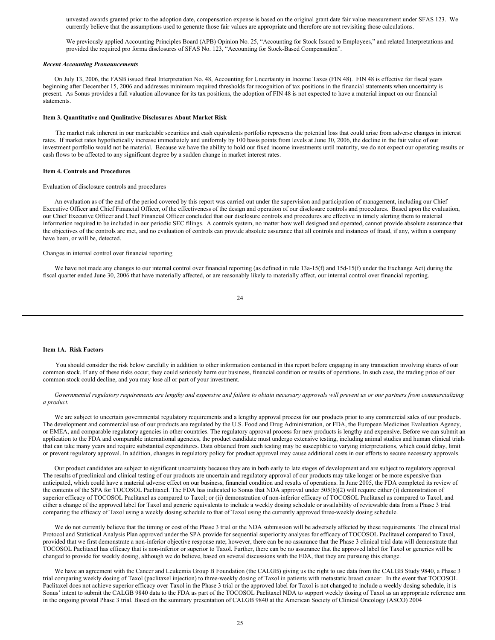unvested awards granted prior to the adoption date, compensation expense is based on the original grant date fair value measurement under SFAS 123. We currently believe that the assumptions used to generate those fair values are appropriate and therefore are not revisiting those calculations.

<span id="page-13-0"></span>We previously applied Accounting Principles Board (APB) Opinion No. 25, "Accounting for Stock Issued to Employees," and related Interpretations and provided the required pro forma disclosures of SFAS No. 123, "Accounting for Stock-Based Compensation".

#### *Recent Accounting Pronouncements*

On July 13, 2006, the FASB issued final Interpretation No. 48, Accounting for Uncertainty in Income Taxes (FIN 48). FIN 48 is effective for fiscal years beginning after December 15, 2006 and addresses minimum required thresholds for recognition of tax positions in the financial statements when uncertainty is present. As Sonus provides a full valuation allowance for its tax positions, the adoption of FIN 48 is not expected to have a material impact on our financial **statements** 

#### **Item 3. Quantitative and Qualitative Disclosures About Market Risk**

The market risk inherent in our marketable securities and cash equivalents portfolio represents the potential loss that could arise from adverse changes in interest rates. If market rates hypothetically increase immediately and uniformly by 100 basis points from levels at June 30, 2006, the decline in the fair value of our investment portfolio would not be material. Because we have the ability to hold our fixed income investments until maturity, we do not expect our operating results or cash flows to be affected to any significant degree by a sudden change in market interest rates.

#### <span id="page-13-1"></span>**Item 4. Controls and Procedures**

#### Evaluation of disclosure controls and procedures

An evaluation as of the end of the period covered by this report was carried out under the supervision and participation of management, including our Chief Executive Officer and Chief Financial Officer, of the effectiveness of the design and operation of our disclosure controls and procedures. Based upon the evaluation, our Chief Executive Officer and Chief Financial Officer concluded that our disclosure controls and procedures are effective in timely alerting them to material information required to be included in our periodic SEC filings. A controls system, no matter how well designed and operated, cannot provide absolute assurance that the objectives of the controls are met, and no evaluation of controls can provide absolute assurance that all controls and instances of fraud, if any, within a company have been, or will be, detected.

### Changes in internal control over financial reporting

We have not made any changes to our internal control over financial reporting (as defined in rule 13a-15(f) and 15d-15(f) under the Exchange Act) during the fiscal quarter ended June 30, 2006 that have materially affected, or are reasonably likely to materially affect, our internal control over financial reporting.

#### <span id="page-13-2"></span>**Item 1A. Risk Factors**

You should consider the risk below carefully in addition to other information contained in this report before engaging in any transaction involving shares of our common stock. If any of these risks occur, they could seriously harm our business, financial condition or results of operations. In such case, the trading price of our common stock could decline, and you may lose all or part of your investment.

# Governmental regulatory requirements are lengthy and expensive and failure to obtain necessary approvals will prevent us or our partners from commercializing *a product.*

We are subject to uncertain governmental regulatory requirements and a lengthy approval process for our products prior to any commercial sales of our products. The development and commercial use of our products are regulated by the U.S. Food and Drug Administration, or FDA, the European Medicines Evaluation Agency, or EMEA, and comparable regulatory agencies in other countries. The regulatory approval process for new products is lengthy and expensive. Before we can submit an application to the FDA and comparable international agencies, the product candidate must undergo extensive testing, including animal studies and human clinical trials that can take many years and require substantial expenditures. Data obtained from such testing may be susceptible to varying interpretations, which could delay, limit or prevent regulatory approval. In addition, changes in regulatory policy for product approval may cause additional costs in our efforts to secure necessary approvals.

Our product candidates are subject to significant uncertainty because they are in both early to late stages of development and are subject to regulatory approval. The results of preclinical and clinical testing of our products are uncertain and regulatory approval of our products may take longer or be more expensive than anticipated, which could have a material adverse effect on our business, financial condition and results of operations. In June 2005, the FDA completed its review of the contents of the SPA for TOCOSOL Paclitaxel. The FDA has indicated to Sonus that NDA approval under 505(b)(2) will require either (i) demonstration of superior efficacy of TOCOSOL Paclitaxel as compared to Taxol; or (ii) demonstration of non-inferior efficacy of TOCOSOL Paclitaxel as compared to Taxol, and either a change of the approved label for Taxol and generic equivalents to include a weekly dosing schedule or availability of reviewable data from a Phase 3 trial comparing the efficacy of Taxol using a weekly dosing schedule to that of Taxol using the currently approved three-weekly dosing schedule.

We do not currently believe that the timing or cost of the Phase 3 trial or the NDA submission will be adversely affected by these requirements. The clinical trial Protocol and Statistical Analysis Plan approved under the SPA provide for sequential superiority analyses for efficacy of TOCOSOL Paclitaxel compared to Taxol, provided that we first demonstrate a non-inferior objective response rate; however, there can be no assurance that the Phase 3 clinical trial data will demonstrate that TOCOSOL Paclitaxel has efficacy that is non-inferior or superior to Taxol. Further, there can be no assurance that the approved label for Taxol or generics will be changed to provide for weekly dosing, although we do believe, based on several discussions with the FDA, that they are pursuing this change.

We have an agreement with the Cancer and Leukemia Group B Foundation (the CALGB) giving us the right to use data from the CALGB Study 9840, a Phase 3 trial comparing weekly dosing of Taxol (paclitaxel injection) to three-weekly dosing of Taxol in patients with metastatic breast cancer. In the event that TOCOSOL Paclitaxel does not achieve superior efficacy over Taxol in the Phase 3 trial or the approved label for Taxol is not changed to include a weekly dosing schedule, it is Sonus' intent to submit the CALGB 9840 data to the FDA as part of the TOCOSOL Paclitaxel NDA to support weekly dosing of Taxol as an appropriate reference arm in the ongoing pivotal Phase 3 trial. Based on the summary presentation of CALGB 9840 at the American Society of Clinical Oncology (ASCO) 2004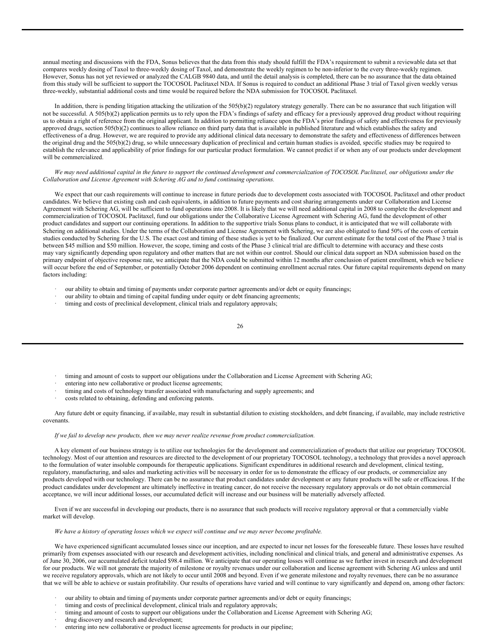annual meeting and discussions with the FDA, Sonus believes that the data from this study should fulfill the FDA's requirement to submit a reviewable data set that compares weekly dosing of Taxol to three-weekly dosing of Taxol, and demonstrate the weekly regimen to be non-inferior to the every three-weekly regimen. However, Sonus has not yet reviewed or analyzed the CALGB 9840 data, and until the detail analysis is completed, there can be no assurance that the data obtained from this study will be sufficient to support the TOCOSOL Paclitaxel NDA. If Sonus is required to conduct an additional Phase 3 trial of Taxol given weekly versus three-weekly, substantial additional costs and time would be required before the NDA submission for TOCOSOL Paclitaxel.

In addition, there is pending litigation attacking the utilization of the 505(b)(2) regulatory strategy generally. There can be no assurance that such litigation will not be successful. A 505(b)(2) application permits us to rely upon the FDA's findings of safety and efficacy for a previously approved drug product without requiring us to obtain a right of reference from the original applicant. In addition to permitting reliance upon the FDA's prior findings of safety and effectiveness for previously approved drugs, section 505(b)(2) continues to allow reliance on third party data that is available in published literature and which establishes the safety and effectiveness of a drug. However, we are required to provide any additional clinical data necessary to demonstrate the safety and effectiveness of differences between the original drug and the 505(b)(2) drug, so while unnecessary duplication of preclinical and certain human studies is avoided, specific studies may be required to establish the relevance and applicability of prior findings for our particular product formulation. We cannot predict if or when any of our products under development will be commercialized.

We may need additional capital in the future to support the continued development and commercialization of TOCOSOL Paclitaxel, our obligations under the *Collaboration and License Agreement with Schering AG and to fund continuing operations.*

We expect that our cash requirements will continue to increase in future periods due to development costs associated with TOCOSOL Paclitaxel and other product candidates. We believe that existing cash and cash equivalents, in addition to future payments and cost sharing arrangements under our Collaboration and License Agreement with Schering AG, will be sufficient to fund operations into 2008. It is likely that we will need additional capital in 2008 to complete the development and commercialization of TOCOSOL Paclitaxel, fund our obligations under the Collaborative License Agreement with Schering AG, fund the development of other product candidates and support our continuing operations. In addition to the supportive trials Sonus plans to conduct, it is anticipated that we will collaborate with Schering on additional studies. Under the terms of the Collaboration and License Agreement with Schering, we are also obligated to fund 50% of the costs of certain studies conducted by Schering for the U.S. The exact cost and timing of these studies is yet to be finalized. Our current estimate for the total cost of the Phase 3 trial is between \$45 million and \$50 million. However, the scope, timing and costs of the Phase 3 clinical trial are difficult to determine with accuracy and these costs may vary significantly depending upon regulatory and other matters that are not within our control. Should our clinical data support an NDA submission based on the primary endpoint of objective response rate, we anticipate that the NDA could be submitted within 12 months after conclusion of patient enrollment, which we believe will occur before the end of September, or potentially October 2006 dependent on continuing enrollment accrual rates. Our future capital requirements depend on many factors including:

- our ability to obtain and timing of payments under corporate partner agreements and/or debt or equity financings;
- our ability to obtain and timing of capital funding under equity or debt financing agreements;
- timing and costs of preclinical development, clinical trials and regulatory approvals;

timing and amount of costs to support our obligations under the Collaboration and License Agreement with Schering AG;

- entering into new collaborative or product license agreements;
- timing and costs of technology transfer associated with manufacturing and supply agreements; and
- costs related to obtaining, defending and enforcing patents.

Any future debt or equity financing, if available, may result in substantial dilution to existing stockholders, and debt financing, if available, may include restrictive covenants.

# *If we fail to develop new products, then we may never realize revenue from product commercialization.*

A key element of our business strategy is to utilize our technologies for the development and commercialization of products that utilize our proprietary TOCOSOL technology. Most of our attention and resources are directed to the development of our proprietary TOCOSOL technology, a technology that provides a novel approach to the formulation of water insoluble compounds for therapeutic applications. Significant expenditures in additional research and development, clinical testing, regulatory, manufacturing, and sales and marketing activities will be necessary in order for us to demonstrate the efficacy of our products, or commercialize any products developed with our technology. There can be no assurance that product candidates under development or any future products will be safe or efficacious. If the product candidates under development are ultimately ineffective in treating cancer, do not receive the necessary regulatory approvals or do not obtain commercial acceptance, we will incur additional losses, our accumulated deficit will increase and our business will be materially adversely affected.

Even if we are successful in developing our products, there is no assurance that such products will receive regulatory approval or that a commercially viable market will develop.

We have a history of operating losses which we expect will continue and we may never become profitable.

We have experienced significant accumulated losses since our inception, and are expected to incur net losses for the foreseeable future. These losses have resulted primarily from expenses associated with our research and development activities, including nonclinical and clinical trials, and general and administrative expenses. As of June 30, 2006, our accumulated deficit totaled \$98.4 million. We anticipate that our operating losses will continue as we further invest in research and development for our products. We will not generate the majority of milestone or royalty revenues under our collaboration and license agreement with Schering AG unless and until we receive regulatory approvals, which are not likely to occur until 2008 and beyond. Even if we generate milestone and royalty revenues, there can be no assurance that we will be able to achieve or sustain profitability. Our results of operations have varied and will continue to vary significantly and depend on, among other factors:

- our ability to obtain and timing of payments under corporate partner agreements and/or debt or equity financings;
- timing and costs of preclinical development, clinical trials and regulatory approvals;
- timing and amount of costs to support our obligations under the Collaboration and License Agreement with Schering AG;
- drug discovery and research and development;
- entering into new collaborative or product license agreements for products in our pipeline;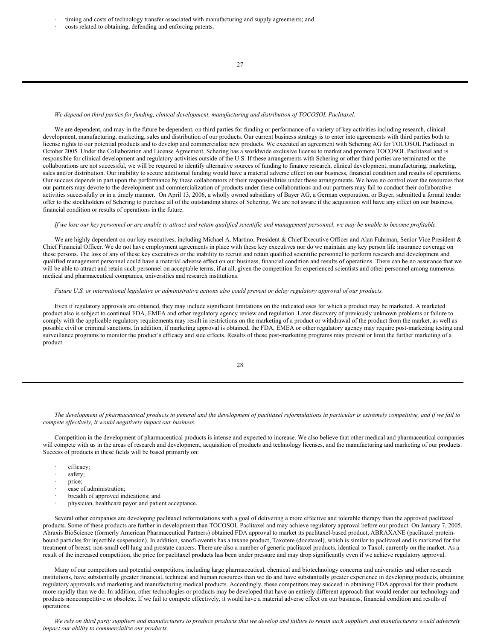timing and costs of technology transfer associated with manufacturing and supply agreements; and

costs related to obtaining, defending and enforcing patents.

#### *We depend on third parties for funding, clinical development, manufacturing and distribution of TOCOSOL Paclitaxel.*

We are dependent, and may in the future be dependent, on third parties for funding or performance of a variety of key activities including research, clinical development, manufacturing, marketing, sales and distribution of our products. Our current business strategy is to enter into agreements with third parties both to license rights to our potential products and to develop and commercialize new products. We executed an agreement with Schering AG for TOCOSOL Paclitaxel in October 2005. Under the Collaboration and License Agreement, Schering has a worldwide exclusive license to market and promote TOCOSOL Paclitaxel and is responsible for clinical development and regulatory activities outside of the U.S. If these arrangements with Schering or other third parties are terminated or the collaborations are not successful, we will be required to identify alternative sources of funding to finance research, clinical development, manufacturing, marketing, sales and/or distribution. Our inability to secure additional funding would have a material adverse effect on our business, financial condition and results of operations. Our success depends in part upon the performance by these collaborators of their responsibilities under these arrangements. We have no control over the resources that our partners may devote to the development and commercialization of products under these collaborations and our partners may fail to conduct their collaborative activities successfully or in a timely manner. On April 13, 2006, a wholly owned subsidiary of Bayer AG, a German corporation, or Bayer, submitted a formal tender offer to the stockholders of Schering to purchase all of the outstanding shares of Schering. We are not aware if the acquisition will have any effect on our business, financial condition or results of operations in the future.

#### If we lose our key personnel or are unable to attract and retain qualified scientific and management personnel, we may be unable to become profitable.

We are highly dependent on our key executives, including Michael A. Martino, President & Chief Executive Officer and Alan Fuhrman, Senior Vice President & Chief Financial Officer. We do not have employment agreements in place with these key executives nor do we maintain any key person life insurance coverage on these persons. The loss of any of these key executives or the inability to recruit and retain qualified scientific personnel to perform research and development and qualified management personnel could have a material adverse effect on our business, financial condition and results of operations. There can be no assurance that we will be able to attract and retain such personnel on acceptable terms, if at all, given the competition for experienced scientists and other personnel among numerous medical and pharmaceutical companies, universities and research institutions.

#### Future U.S. or international legislative or administrative actions also could prevent or delay regulatory approval of our products.

Even if regulatory approvals are obtained, they may include significant limitations on the indicated uses for which a product may be marketed. A marketed product also is subject to continual FDA, EMEA and other regulatory agency review and regulation. Later discovery of previously unknown problems or failure to comply with the applicable regulatory requirements may result in restrictions on the marketing of a product or withdrawal of the product from the market, as well as possible civil or criminal sanctions. In addition, if marketing approval is obtained, the FDA, EMEA or other regulatory agency may require post-marketing testing and surveillance programs to monitor the product's efficacy and side effects. Results of these post-marketing programs may prevent or limit the further marketing of a product.

28

The development of pharmaceutical products in general and the development of paclitaxel reformulations in particular is extremely competitive, and if we fail to *compete ef ectively, it would negatively impact our business.*

Competition in the development of pharmaceutical products is intense and expected to increase. We also believe that other medical and pharmaceutical companies will compete with us in the areas of research and development, acquisition of products and technology licenses, and the manufacturing and marketing of our products. Success of products in these fields will be based primarily on:

- efficacy;
- safety:
- price;
- ease of administration;
- breadth of approved indications; and
- physician, healthcare payor and patient acceptance.

Several other companies are developing paclitaxel reformulations with a goal of delivering a more effective and tolerable therapy than the approved paclitaxel products. Some of these products are further in development than TOCOSOL Paclitaxel and may achieve regulatory approval before our product. On January 7, 2005, Abraxis BioScience (formerly American Pharmaceutical Partners) obtained FDA approval to market its paclitaxel-based product, ABRAXANE (paclitaxel proteinbound particles for injectible suspension). In addition, sanofi-aventis has a taxane product, Taxotere (docetaxel), which is similar to paclitaxel and is marketed for the treatment of breast, non-small cell lung and prostate cancers. There are also a number of generic paclitaxel products, identical to Taxol, currently on the market. As a result of the increased competition, the price for paclitaxel products has been under pressure and may drop significantly even if we achieve regulatory approval.

Many of our competitors and potential competitors, including large pharmaceutical, chemical and biotechnology concerns and universities and other research institutions, have substantially greater financial, technical and human resources than we do and have substantially greater experience in developing products, obtaining regulatory approvals and marketing and manufacturing medical products. Accordingly, these competitors may succeed in obtaining FDA approval for their products more rapidly than we do. In addition, other technologies or products may be developed that have an entirely different approach that would render our technology and products noncompetitive or obsolete. If we fail to compete effectively, it would have a material adverse effect on our business, financial condition and results of operations.

We rely on third party suppliers and manufacturers to produce products that we develop and failure to retain such suppliers and manufacturers would adversely *impact our ability to commercialize our products.*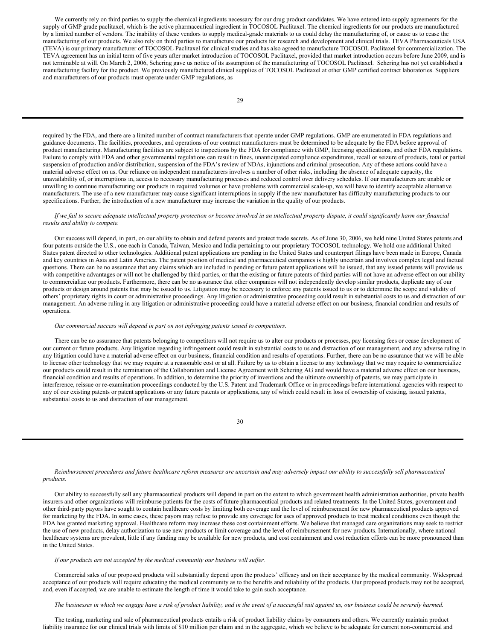We currently rely on third parties to supply the chemical ingredients necessary for our drug product candidates. We have entered into supply agreements for the supply of GMP grade paclitaxel, which is the active pharmaceutical ingredient in TOCOSOL Paclitaxel. The chemical ingredients for our products are manufactured by a limited number of vendors. The inability of these vendors to supply medical-grade materials to us could delay the manufacturing of, or cause us to cease the manufacturing of our products. We also rely on third parties to manufacture our products for research and development and clinical trials. TEVA Pharmaceuticals USA (TEVA) is our primary manufacturer of TOCOSOL Paclitaxel for clinical studies and has also agreed to manufacture TOCOSOL Paclitaxel for commercialization. The TEVA agreement has an initial term of five years after market introduction of TOCOSOL Paclitaxel, provided that market introduction occurs before June 2009, and is not terminable at will. On March 2, 2006, Schering gave us notice of its assumption of the manufacturing of TOCOSOL Paclitaxel. Schering has not yet established a manufacturing facility for the product. We previously manufactured clinical supplies of TOCOSOL Paclitaxel at other GMP certified contract laboratories. Suppliers and manufacturers of our products must operate under GMP regulations, as

required by the FDA, and there are a limited number of contract manufacturers that operate under GMP regulations. GMP are enumerated in FDA regulations and guidance documents. The facilities, procedures, and operations of our contract manufacturers must be determined to be adequate by the FDA before approval of product manufacturing. Manufacturing facilities are subject to inspections by the FDA for compliance with GMP, licensing specifications, and other FDA regulations. Failure to comply with FDA and other governmental regulations can result in fines, unanticipated compliance expenditures, recall or seizure of products, total or partial suspension of production and/or distribution, suspension of the FDA's review of NDAs, injunctions and criminal prosecution. Any of these actions could have a material adverse effect on us. Our reliance on independent manufacturers involves a number of other risks, including the absence of adequate capacity, the unavailability of, or interruptions in, access to necessary manufacturing processes and reduced control over delivery schedules. If our manufacturers are unable or unwilling to continue manufacturing our products in required volumes or have problems with commercial scale-up, we will have to identify acceptable alternative manufacturers. The use of a new manufacturer may cause significant interruptions in supply if the new manufacturer has difficulty manufacturing products to our specifications. Further, the introduction of a new manufacturer may increase the variation in the quality of our products.

## If we fail to secure adequate intellectual property protection or become involved in an intellectual property dispute, it could significantly harm our financial *results and ability to compete.*

Our success will depend, in part, on our ability to obtain and defend patents and protect trade secrets. As of June 30, 2006, we held nine United States patents and four patents outside the U.S., one each in Canada, Taiwan, Mexico and India pertaining to our proprietary TOCOSOL technology. We hold one additional United States patent directed to other technologies. Additional patent applications are pending in the United States and counterpart filings have been made in Europe, Canada and key countries in Asia and Latin America. The patent position of medical and pharmaceutical companies is highly uncertain and involves complex legal and factual questions. There can be no assurance that any claims which are included in pending or future patent applications will be issued, that any issued patents will provide us with competitive advantages or will not be challenged by third parties, or that the existing or future patents of third parties will not have an adverse effect on our ability to commercialize our products. Furthermore, there can be no assurance that other companies will not independently develop similar products, duplicate any of our products or design around patents that may be issued to us. Litigation may be necessary to enforce any patents issued to us or to determine the scope and validity of others' proprietary rights in court or administrative proceedings. Any litigation or administrative proceeding could result in substantial costs to us and distraction of our management. An adverse ruling in any litigation or administrative proceeding could have a material adverse effect on our business, financial condition and results of operations.

#### *Our commercial success will depend in part on not infringing patents issued to competitors.*

There can be no assurance that patents belonging to competitors will not require us to alter our products or processes, pay licensing fees or cease development of our current or future products. Any litigation regarding infringement could result in substantial costs to us and distraction of our management, and any adverse ruling in any litigation could have a material adverse effect on our business, financial condition and results of operations. Further, there can be no assurance that we will be able to license other technology that we may require at a reasonable cost or at all. Failure by us to obtain a license to any technology that we may require to commercialize our products could result in the termination of the Collaboration and License Agreement with Schering AG and would have a material adverse effect on our business, financial condition and results of operations. In addition, to determine the priority of inventions and the ultimate ownership of patents, we may participate in interference, reissue or re-examination proceedings conducted by the U.S. Patent and Trademark Office or in proceedings before international agencies with respect to any of our existing patents or patent applications or any future patents or applications, any of which could result in loss of ownership of existing, issued patents, substantial costs to us and distraction of our management.

30

# Reimbursement procedures and future healthcare reform measures are uncertain and may adversely impact our ability to successfully sell pharmaceutical *products.*

Our ability to successfully sell any pharmaceutical products will depend in part on the extent to which government health administration authorities, private health insurers and other organizations will reimburse patients for the costs of future pharmaceutical products and related treatments. In the United States, government and other third-party payors have sought to contain healthcare costs by limiting both coverage and the level of reimbursement for new pharmaceutical products approved for marketing by the FDA. In some cases, these payors may refuse to provide any coverage for uses of approved products to treat medical conditions even though the FDA has granted marketing approval. Healthcare reform may increase these cost containment efforts. We believe that managed care organizations may seek to restrict the use of new products, delay authorization to use new products or limit coverage and the level of reimbursement for new products. Internationally, where national healthcare systems are prevalent, little if any funding may be available for new products, and cost containment and cost reduction efforts can be more pronounced than in the United States.

#### *If our products are not accepted by the medical community our business will suf er.*

Commercial sales of our proposed products will substantially depend upon the products' efficacy and on their acceptance by the medical community. Widespread acceptance of our products will require educating the medical community as to the benefits and reliability of the products. Our proposed products may not be accepted, and, even if accepted, we are unable to estimate the length of time it would take to gain such acceptance.

The businesses in which we engage have a risk of product liability, and in the event of a successful suit against us, our business could be severely harmed.

The testing, marketing and sale of pharmaceutical products entails a risk of product liability claims by consumers and others. We currently maintain product liability insurance for our clinical trials with limits of \$10 million per claim and in the aggregate, which we believe to be adequate for current non-commercial and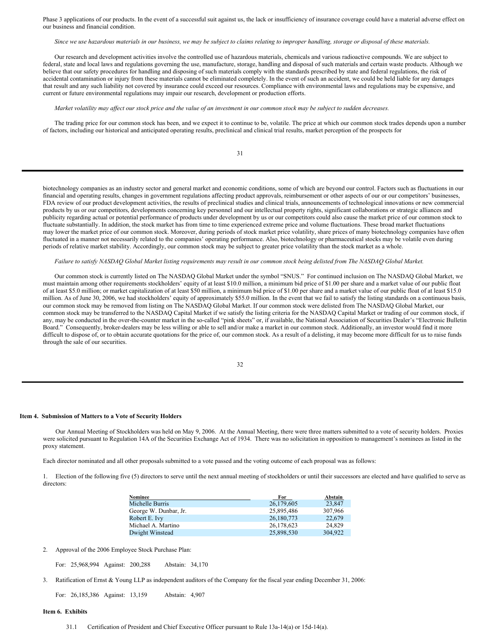Phase 3 applications of our products. In the event of a successful suit against us, the lack or insufficiency of insurance coverage could have a material adverse effect on our business and financial condition.

Since we use hazardous materials in our business, we may be subject to claims relating to improper handling, storage or disposal of these materials.

Our research and development activities involve the controlled use of hazardous materials, chemicals and various radioactive compounds. We are subject to federal, state and local laws and regulations governing the use, manufacture, storage, handling and disposal of such materials and certain waste products. Although we believe that our safety procedures for handling and disposing of such materials comply with the standards prescribed by state and federal regulations, the risk of accidental contamination or injury from these materials cannot be eliminated completely. In the event of such an accident, we could be held liable for any damages that result and any such liability not covered by insurance could exceed our resources. Compliance with environmental laws and regulations may be expensive, and current or future environmental regulations may impair our research, development or production efforts.

Market volatility may affect our stock price and the value of an investment in our common stock may be subject to sudden decreases.

The trading price for our common stock has been, and we expect it to continue to be, volatile. The price at which our common stock trades depends upon a number of factors, including our historical and anticipated operating results, preclinical and clinical trial results, market perception of the prospects for

31

biotechnology companies as an industry sector and general market and economic conditions, some of which are beyond our control. Factors such as fluctuations in our financial and operating results, changes in government regulations affecting product approvals, reimbursement or other aspects of our or our competitors' businesses, FDA review of our product development activities, the results of preclinical studies and clinical trials, announcements of technological innovations or new commercial products by us or our competitors, developments concerning key personnel and our intellectual property rights, significant collaborations or strategic alliances and publicity regarding actual or potential performance of products under development by us or our competitors could also cause the market price of our common stock to fluctuate substantially. In addition, the stock market has from time to time experienced extreme price and volume fluctuations. These broad market fluctuations may lower the market price of our common stock. Moreover, during periods of stock market price volatility, share prices of many biotechnology companies have often fluctuated in a manner not necessarily related to the companies' operating performance. Also, biotechnology or pharmaceutical stocks may be volatile even during periods of relative market stability. Accordingly, our common stock may be subject to greater price volatility than the stock market as a whole.

Failure to satisfy NASDAQ Global Market listing requirements may result in our common stock being delisted from The NASDAQ Global Market.

Our common stock is currently listed on The NASDAQ Global Market under the symbol "SNUS." For continued inclusion on The NASDAQ Global Market, we must maintain among other requirements stockholders' equity of at least \$10.0 million, a minimum bid price of \$1.00 per share and a market value of our public float of at least \$5.0 million; or market capitalization of at least \$50 million, a minimum bid price of \$1.00 per share and a market value of our public float of at least \$15.0 million. As of June 30, 2006, we had stockholders' equity of approximately \$55.0 million. In the event that we fail to satisfy the listing standards on a continuous basis, our common stock may be removed from listing on The NASDAQ Global Market. If our common stock were delisted from The NASDAQ Global Market, our common stock may be transferred to the NASDAQ Capital Market if we satisfy the listing criteria for the NASDAQ Capital Market or trading of our common stock, if any, may be conducted in the over-the-counter market in the so-called "pink sheets" or, if available, the National Association of Securities Dealer's "Electronic Bulletin Board." Consequently, broker-dealers may be less willing or able to sell and/or make a market in our common stock. Additionally, an investor would find it more difficult to dispose of, or to obtain accurate quotations for the price of, our common stock. As a result of a delisting, it may become more difficult for us to raise funds through the sale of our securities.

<span id="page-17-0"></span>32

#### **Item 4. Submission of Matters to a Vote of Security Holders**

Our Annual Meeting of Stockholders was held on May 9, 2006. At the Annual Meeting, there were three matters submitted to a vote of security holders. Proxies were solicited pursuant to Regulation 14A of the Securities Exchange Act of 1934. There was no solicitation in opposition to management's nominees as listed in the proxy statement.

Each director nominated and all other proposals submitted to a vote passed and the voting outcome of each proposal was as follows:

1. Election of the following five (5) directors to serve until the next annual meeting of stockholders or until their successors are elected and have qualified to serve as directors:

| Nominee               | <b>For</b> | Abstain |
|-----------------------|------------|---------|
| Michelle Burris       | 26,179,605 | 23.847  |
| George W. Dunbar, Jr. | 25,895,486 | 307,966 |
| Robert E. Ivy         | 26,180,773 | 22,679  |
| Michael A. Martino    | 26,178,623 | 24.829  |
| Dwight Winstead       | 25,898,530 | 304.922 |

2. Approval of the 2006 Employee Stock Purchase Plan:

For: 25,968,994 Against: 200,288 Abstain: 34,170

3. Ratification of Ernst & Young LLP as independent auditors of the Company for the fiscal year ending December 31, 2006:

For: 26,185,386 Against: 13,159 Abstain: 4,907

#### **Item 6. Exhibits**

<span id="page-17-1"></span>31.1 Certification of President and Chief Executive Officer pursuant to Rule 13a-14(a) or 15d-14(a).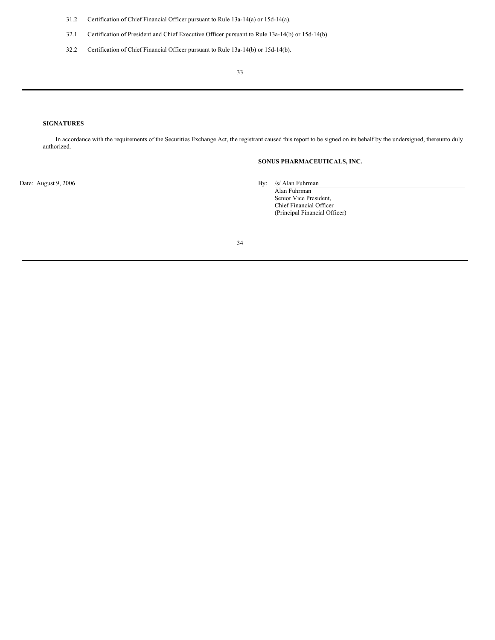- 31.2 Certification of Chief Financial Officer pursuant to Rule 13a-14(a) or 15d-14(a).
- 32.1 Certification of President and Chief Executive Officer pursuant to Rule 13a-14(b) or 15d-14(b).
- 32.2 Certification of Chief Financial Officer pursuant to Rule 13a-14(b) or 15d-14(b).

# **SIGNATURES**

In accordance with the requirements of the Securities Exchange Act, the registrant caused this report to be signed on its behalf by the undersigned, thereunto duly authorized.

# **SONUS PHARMACEUTICALS, INC.**

Date: August 9, 2006 By: /s/ Alan Fuhrman

Alan Fuhrman Senior Vice President, Chief Financial Officer (Principal Financial Officer)

34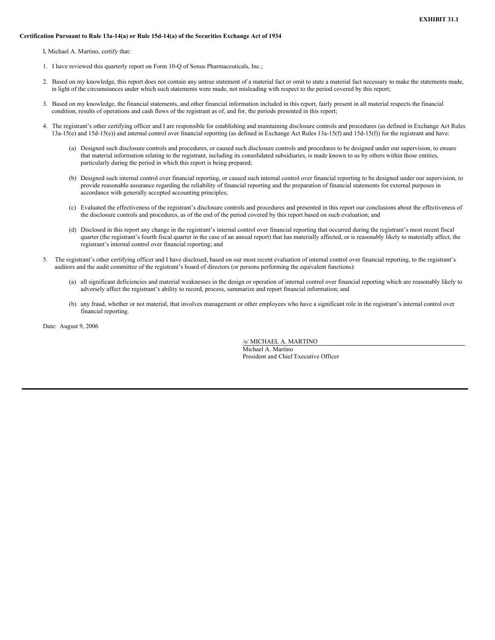# **Certification Pursuant to Rule 13a-14(a) or Rule 15d-14(a) of the Securities Exchange Act of 1934**

I, Michael A. Martino, certify that:

- 1. I have reviewed this quarterly report on Form 10-Q of Sonus Pharmaceuticals, Inc.;
- 2. Based on my knowledge, this report does not contain any untrue statement of a material fact or omit to state a material fact necessary to make the statements made, in light of the circumstances under which such statements were made, not misleading with respect to the period covered by this report;
- 3. Based on my knowledge, the financial statements, and other financial information included in this report, fairly present in all material respects the financial condition, results of operations and cash flows of the registrant as of, and for, the periods presented in this report;
- 4. The registrant's other certifying officer and I are responsible for establishing and maintaining disclosure controls and procedures (as defined in Exchange Act Rules 13a-15(e) and 15d-15(e)) and internal control over financial reporting (as defined in Exchange Act Rules 13a-15(f) and 15d-15(f)) for the registrant and have:
	- (a) Designed such disclosure controls and procedures, or caused such disclosure controls and procedures to be designed under our supervision, to ensure that material information relating to the registrant, including its consolidated subsidiaries, is made known to us by others within those entities, particularly during the period in which this report is being prepared;
	- (b) Designed such internal control over financial reporting, or caused such internal control over financial reporting to be designed under our supervision, to provide reasonable assurance regarding the reliability of financial reporting and the preparation of financial statements for external purposes in accordance with generally accepted accounting principles;
	- (c) Evaluated the effectiveness of the registrant's disclosure controls and procedures and presented in this report our conclusions about the effectiveness of the disclosure controls and procedures, as of the end of the period covered by this report based on such evaluation; and
	- (d) Disclosed in this report any change in the registrant's internal control over financial reporting that occurred during the registrant's most recent fiscal quarter (the registrant's fourth fiscal quarter in the case of an annual report) that has materially affected, or is reasonably likely to materially affect, the registrant's internal control over financial reporting; and
- 5. The registrant's other certifying officer and I have disclosed, based on our most recent evaluation of internal control over financial reporting, to the registrant's auditors and the audit committee of the registrant's board of directors (or persons performing the equivalent functions):
	- (a) all significant deficiencies and material weaknesses in the design or operation of internal control over financial reporting which are reasonably likely to adversely affect the registrant's ability to record, process, summarize and report financial information; and
	- (b) any fraud, whether or not material, that involves management or other employees who have a significant role in the registrant's internal control over financial reporting.

Date: August 9, 2006

/s/ MICHAEL A. MARTINO Michael A. Martino President and Chief Executive Officer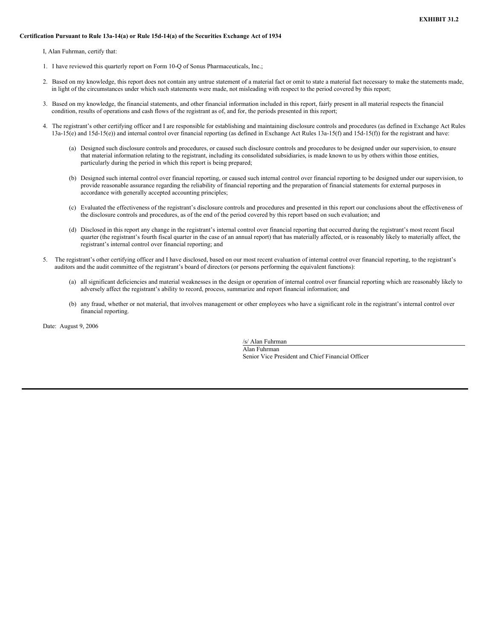# **Certification Pursuant to Rule 13a-14(a) or Rule 15d-14(a) of the Securities Exchange Act of 1934**

I, Alan Fuhrman, certify that:

- 1. I have reviewed this quarterly report on Form 10-Q of Sonus Pharmaceuticals, Inc.;
- 2. Based on my knowledge, this report does not contain any untrue statement of a material fact or omit to state a material fact necessary to make the statements made, in light of the circumstances under which such statements were made, not misleading with respect to the period covered by this report;
- 3. Based on my knowledge, the financial statements, and other financial information included in this report, fairly present in all material respects the financial condition, results of operations and cash flows of the registrant as of, and for, the periods presented in this report;
- 4. The registrant's other certifying officer and I are responsible for establishing and maintaining disclosure controls and procedures (as defined in Exchange Act Rules 13a-15(e) and 15d-15(e)) and internal control over financial reporting (as defined in Exchange Act Rules 13a-15(f) and 15d-15(f)) for the registrant and have:
	- (a) Designed such disclosure controls and procedures, or caused such disclosure controls and procedures to be designed under our supervision, to ensure that material information relating to the registrant, including its consolidated subsidiaries, is made known to us by others within those entities, particularly during the period in which this report is being prepared;
	- (b) Designed such internal control over financial reporting, or caused such internal control over financial reporting to be designed under our supervision, to provide reasonable assurance regarding the reliability of financial reporting and the preparation of financial statements for external purposes in accordance with generally accepted accounting principles;
	- (c) Evaluated the effectiveness of the registrant's disclosure controls and procedures and presented in this report our conclusions about the effectiveness of the disclosure controls and procedures, as of the end of the period covered by this report based on such evaluation; and
	- (d) Disclosed in this report any change in the registrant's internal control over financial reporting that occurred during the registrant's most recent fiscal quarter (the registrant's fourth fiscal quarter in the case of an annual report) that has materially affected, or is reasonably likely to materially affect, the registrant's internal control over financial reporting; and
- 5. The registrant's other certifying officer and I have disclosed, based on our most recent evaluation of internal control over financial reporting, to the registrant's auditors and the audit committee of the registrant's board of directors (or persons performing the equivalent functions):
	- (a) all significant deficiencies and material weaknesses in the design or operation of internal control over financial reporting which are reasonably likely to adversely affect the registrant's ability to record, process, summarize and report financial information; and
	- (b) any fraud, whether or not material, that involves management or other employees who have a significant role in the registrant's internal control over financial reporting.

Date: August 9, 2006

/s/ Alan Fuhrman Alan Fuhrman Senior Vice President and Chief Financial Officer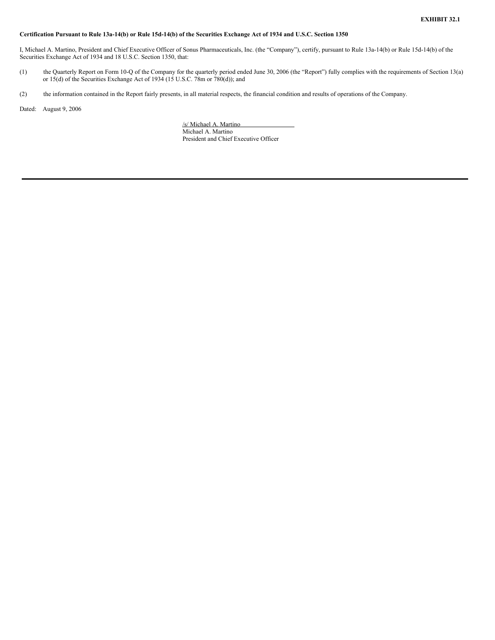# Certification Pursuant to Rule 13a-14(b) or Rule 15d-14(b) of the Securities Exchange Act of 1934 and U.S.C. Section 1350

I, Michael A. Martino, President and Chief Executive Officer of Sonus Pharmaceuticals, Inc. (the "Company"), certify, pursuant to Rule 13a-14(b) or Rule 15d-14(b) of the Securities Exchange Act of 1934 and 18 U.S.C. Section 1350, that:

- (1) the Quarterly Report on Form 10-Q of the Company for the quarterly period ended June 30, 2006 (the "Report") fully complies with the requirements of Section 13(a) or 15(d) of the Securities Exchange Act of 1934 (15 U.S.C. 78m or 780(d)); and
- (2) the information contained in the Report fairly presents, in all material respects, the financial condition and results of operations of the Company.

Dated: August 9, 2006

/s/ Michael A. Martino Michael A. Martino President and Chief Executive Officer